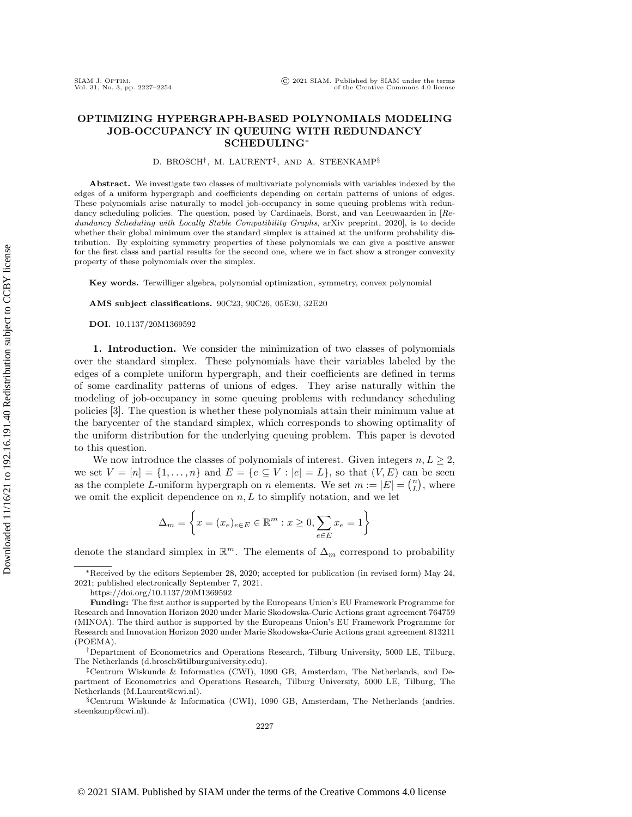## OPTIMIZING HYPERGRAPH-BASED POLYNOMIALS MODELING JOB-OCCUPANCY IN QUEUING WITH REDUNDANCY SCHEDULING<sup>\*</sup>

D. BROSCH<sup>†</sup>, M. LAURENT<sup>‡</sup>, AND A. STEENKAMP<sup>§</sup>

Abstract. We investigate two classes of multivariate polynomials with variables indexed by the edges of a uniform hypergraph and coefficients depending on certain patterns of unions of edges. These polynomials arise naturally to model job-occupancy in some queuing problems with redundancy scheduling policies. The question, posed by Cardinaels, Borst, and van Leeuwaarden in [Redundancy Scheduling with Locally Stable Compatibility Graphs, arXiv preprint, 2020], is to decide whether their global minimum over the standard simplex is attained at the uniform probability distribution. By exploiting symmetry properties of these polynomials we can give a positive answer for the first class and partial results for the second one, where we in fact show a stronger convexity property of these polynomials over the simplex.

Key words. Terwilliger algebra, polynomial optimization, symmetry, convex polynomial

AMS subject classifications. 90C23, 90C26, 05E30, 32E20

DOI. 10.1137/20M1369592

1. Introduction. We consider the minimization of two classes of polynomials over the standard simplex. These polynomials have their variables labeled by the edges of a complete uniform hypergraph, and their coefficients are defined in terms of some cardinality patterns of unions of edges. They arise naturally within the modeling of job-occupancy in some queuing problems with redundancy scheduling policies [\[3\]](#page-26-0). The question is whether these polynomials attain their minimum value at the barycenter of the standard simplex, which corresponds to showing optimality of the uniform distribution for the underlying queuing problem. This paper is devoted to this question.

We now introduce the classes of polynomials of interest. Given integers  $n, L \geq 2$ , we set  $V = [n] = \{ 1, \ldots, n\}$  and  $E = \{ e \subseteq V : |e| = L\}$ , so that  $(V, E)$  can be seen as the complete L-uniform hypergraph on n elements. We set  $m := |E| = \binom{n}{L}$ , where we omit the explicit dependence on  $n, L$  to simplify notation, and we let

$$
\Delta_m = \left\{ x = (x_e)_{e \in E} \in \mathbb{R}^m : x \ge 0, \sum_{e \in E} x_e = 1 \right\}
$$

denote the standard simplex in  $\mathbb{R}^m$ . The elements of  $\Delta_m$  correspond to probability

<sup>\*</sup>Received by the editors September 28, 2020; accepted for publication (in revised form) May 24, 2021; published electronically September 7, 2021.

<https://doi.org/10.1137/20M1369592>

Funding: The first author is supported by the Europeans Union's EU Framework Programme for Research and Innovation Horizon 2020 under Marie Skodowska-Curie Actions grant agreement 764759 (MINOA). The third author is supported by the Europeans Union's EU Framework Programme for Research and Innovation Horizon 2020 under Marie Skodowska-Curie Actions grant agreement 813211 (POEMA).

<sup>&</sup>lt;sup>†</sup>Department of Econometrics and Operations Research, Tilburg University, 5000 LE, Tilburg, The Netherlands [\(d.brosch@tilburguniversity.edu\)](mailto:d.brosch@tilburguniversity.edu).

<sup>&</sup>lt;sup>‡</sup>Centrum Wiskunde & Informatica (CWI), 1090 GB, Amsterdam, The Netherlands, and Department of Econometrics and Operations Research, Tilburg University, 5000 LE, Tilburg, The Netherlands [\(M.Laurent@cwi.nl\)](mailto:M.Laurent@cwi.nl).

 $\S$  Centrum Wiskunde & Informatica (CWI), 1090 GB, Amsterdam, The Netherlands [\(andries.](mailto:andries.steenkamp@cwi.nl) [steenkamp@cwi.nl\)](mailto:andries.steenkamp@cwi.nl).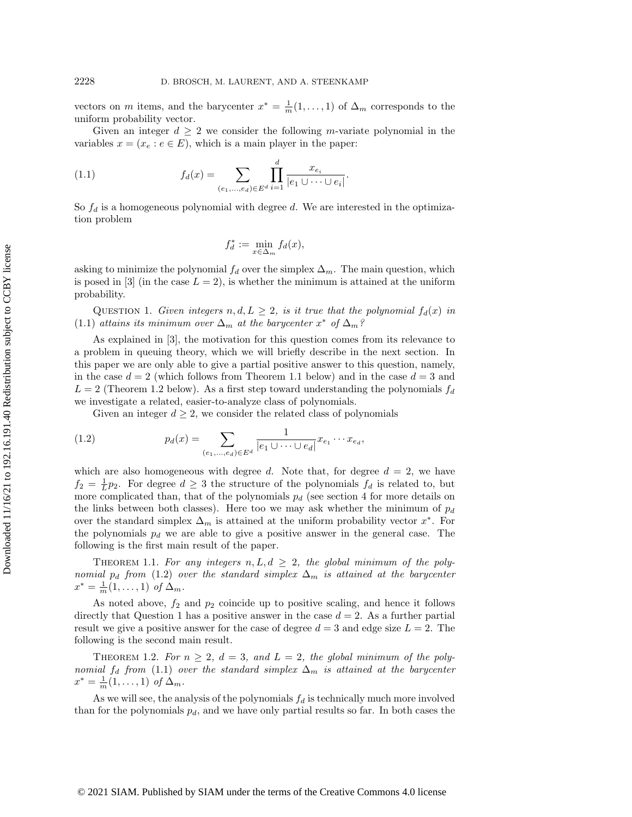vectors on m items, and the barycenter  $x^* = \frac{1}{m} (1, \ldots, 1)$  of  $\Delta_m$  corresponds to the uniform probability vector.

Given an integer  $d \geq 2$  we consider the following m-variate polynomial in the variables  $x = (x_e : e \in E)$ , which is a main player in the paper:

(1.1) 
$$
f_d(x) = \sum_{(e_1,...,e_d) \in E^d} \prod_{i=1}^d \frac{x_{e_i}}{|e_1 \cup \dots \cup e_i|}.
$$

So  $f_d$  is a homogeneous polynomial with degree d. We are interested in the optimization problem

<span id="page-1-0"></span>
$$
f_d^* := \min_{x \in \Delta_m} f_d(x),
$$

<span id="page-1-4"></span>asking to minimize the polynomial  $f_d$  over the simplex  $\Delta_m$ . The main question, which is posed in  $[3]$  (in the case  $L = 2$ ), is whether the minimum is attained at the uniform probability.

QUESTION 1. Given integers  $n, d, L \geq 2$ , is it true that the polynomial  $f_d(x)$  in [\(1.1\)](#page-1-0) attains its minimum over  $\Delta_m$  at the barycenter  $x^*$  of  $\Delta_m$ ?

As explained in [\[3\]](#page-26-0), the motivation for this question comes from its relevance to a problem in queuing theory, which we will briefly describe in the next section. In this paper we are only able to give a partial positive answer to this question, namely, in the case  $d = 2$  (which follows from Theorem [1.1](#page-1-1) below) and in the case  $d = 3$  and  $L = 2$  (Theorem [1.2](#page-1-2) below). As a first step toward understanding the polynomials  $f_d$ we investigate a related, easier-to-analyze class of polynomials.

<span id="page-1-3"></span>Given an integer  $d \geq 2$ , we consider the related class of polynomials

(1.2) 
$$
p_d(x) = \sum_{(e_1,...,e_d) \in E^d} \frac{1}{|e_1 \cup \dots \cup e_d|} x_{e_1} \cdots x_{e_d},
$$

which are also homogeneous with degree d. Note that, for degree  $d = 2$ , we have  $f_2 = \frac{1}{L}p_2$ . For degree  $d \geq 3$  the structure of the polynomials  $f_d$  is related to, but more complicated than, that of the polynomials  $p_d$  (see section [4](#page-15-0) for more details on the links between both classes). Here too we may ask whether the minimum of  $p_d$ over the standard simplex  $\Delta_m$  is attained at the uniform probability vector  $x^*$ . For the polynomials  $p_d$  we are able to give a positive answer in the general case. The following is the first main result of the paper.

<span id="page-1-1"></span>THEOREM 1.1. For any integers  $n, L, d \geq 2$ , the global minimum of the poly-nomial pd from [\(1.2\)](#page-1-3) over the standard simplex  $\Delta_m$  is attained at the barycenter  $x^* = \frac{1}{m}(1, \ldots, 1)$  of  $\Delta_m$ .

As noted above,  $f_2$  and  $p_2$  coincide up to positive scaling, and hence it follows directly that Question [1](#page-1-0) has a positive answer in the case  $d = 2$ . As a further partial result we give a positive answer for the case of degree  $d = 3$  and edge size  $L = 2$ . The following is the second main result.

<span id="page-1-2"></span>THEOREM 1.2. For  $n \geq 2$ ,  $d = 3$ , and  $L = 2$ , the global minimum of the polynomial  $f_d$  from [\(1.1\)](#page-1-0) over the standard simplex  $\Delta_m$  is attained at the barycenter  $x^* = \frac{1}{m}(1, \ldots, 1)$  of  $\Delta_m$ .

As we will see, the analysis of the polynomials  $f_d$  is technically much more involved than for the polynomials  $p_d$ , and we have only partial results so far. In both cases the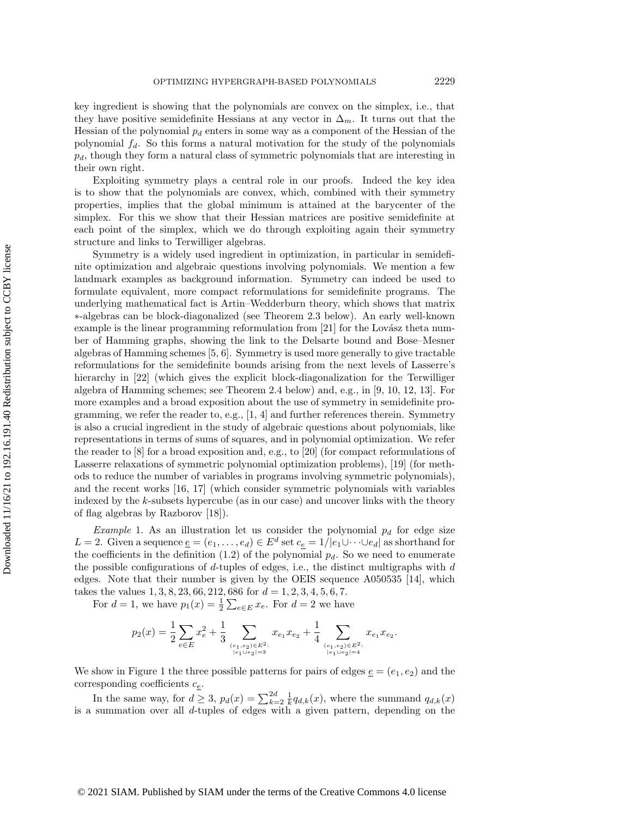key ingredient is showing that the polynomials are convex on the simplex, i.e., that they have positive semidefinite Hessians at any vector in  $\Delta_m$ . It turns out that the Hessian of the polynomial  $p_d$  enters in some way as a component of the Hessian of the polynomial  $f_d$ . So this forms a natural motivation for the study of the polynomials  $p_d$ , though they form a natural class of symmetric polynomials that are interesting in their own right.

Exploiting symmetry plays a central role in our proofs. Indeed the key idea is to show that the polynomials are convex, which, combined with their symmetry properties, implies that the global minimum is attained at the barycenter of the simplex. For this we show that their Hessian matrices are positive semidefinite at each point of the simplex, which we do through exploiting again their symmetry structure and links to Terwilliger algebras.

Symmetry is a widely used ingredient in optimization, in particular in semidefinite optimization and algebraic questions involving polynomials. We mention a few landmark examples as background information. Symmetry can indeed be used to formulate equivalent, more compact reformulations for semidefinite programs. The underlying mathematical fact is Artin--Wedderburn theory, which shows that matrix \ast -algebras can be block-diagonalized (see Theorem [2.3](#page-7-0) below). An early well-known example is the linear programming reformulation from  $[21]$  for the Lovász theta number of Hamming graphs, showing the link to the Delsarte bound and Bose--Mesner algebras of Hamming schemes [\[5,](#page-26-1) [6\]](#page-26-2). Symmetry is used more generally to give tractable reformulations for the semidefinite bounds arising from the next levels of Lasserre's hierarchy in [\[22\]](#page-27-1) (which gives the explicit block-diagonalization for the Terwilliger algebra of Hamming schemes; see Theorem [2.4](#page-8-0) below) and, e.g., in [\[9,](#page-26-3) [10,](#page-26-4) [12,](#page-26-5) [13\]](#page-26-6). For more examples and a broad exposition about the use of symmetry in semidefinite programming, we refer the reader to, e.g.,  $[1, 4]$  $[1, 4]$  and further references therein. Symmetry is also a crucial ingredient in the study of algebraic questions about polynomials, like representations in terms of sums of squares, and in polynomial optimization. We refer the reader to [\[8\]](#page-26-9) for a broad exposition and, e.g., to [\[20\]](#page-27-2) (for compact reformulations of Lasserre relaxations of symmetric polynomial optimization problems), [\[19\]](#page-27-3) (for methods to reduce the number of variables in programs involving symmetric polynomials), and the recent works [\[16,](#page-26-10) [17\]](#page-26-11) (which consider symmetric polynomials with variables indexed by the  $k$ -subsets hypercube (as in our case) and uncover links with the theory of flag algebras by Razborov [\[18\]](#page-27-4)).

<span id="page-2-0"></span>Example 1. As an illustration let us consider the polynomial  $p_d$  for edge size  $L = 2$ . Given a sequence  $\underline{e} = (e_1, \ldots, e_d) \in E^d$  set  $c_{\underline{e}} = 1/|e_1 \cup \cdots \cup e_d|$  as shorthand for the coefficients in the definition  $(1.2)$  of the polynomial  $p_d$ . So we need to enumerate the possible configurations of  $d$ -tuples of edges, i.e., the distinct multigraphs with  $d$ edges. Note that their number is given by the OEIS sequence A050535 [\[14\]](#page-26-12), which takes the values  $1, 3, 8, 23, 66, 212, 686$  for  $d = 1, 2, 3, 4, 5, 6, 7$ .

For  $d = 1$ , we have  $p_1(x) = \frac{1}{2} \sum_{e \in E} x_e$ . For  $d = 2$  we have

$$
p_2(x) = \frac{1}{2}\sum_{e \in E} x_e^2 + \frac{1}{3}\sum_{(e_1,e_2) \in E^2:\atop |e_1 \cup e_2| = 3} x_{e_1}x_{e_2} + \frac{1}{4}\sum_{(e_1,e_2) \in E^2:\atop |e_1 \cup e_2| = 4} x_{e_1}x_{e_2}.
$$

We show in Figure [1](#page-3-0) the three possible patterns for pairs of edges  $e = (e_1, e_2)$  and the corresponding coefficients  $c_{e}$ .

In the same way, for  $d \geq 3$ ,  $p_d(x) = \sum_{k=2}^{2d} \frac{1}{k} q_{d,k}(x)$ , where the summand  $q_{d,k}(x)$ is a summation over all  $d$ -tuples of edges with a given pattern, depending on the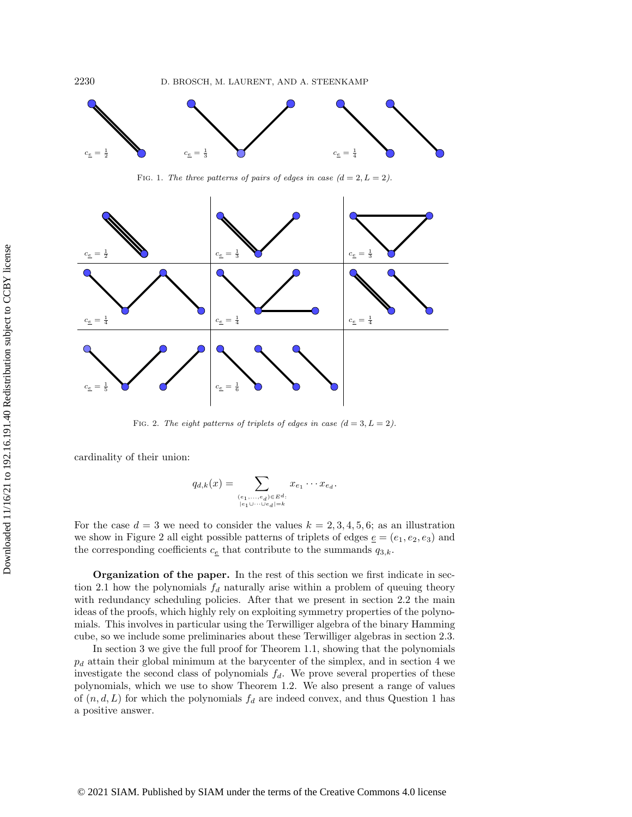<span id="page-3-0"></span>

FIG. 1. The three patterns of pairs of edges in case  $(d = 2, L = 2)$ .

<span id="page-3-1"></span>

FIG. 2. The eight patterns of triplets of edges in case  $(d = 3, L = 2)$ .

cardinality of their union:

$$
q_{d,k}(x) = \sum_{\substack{(e_1,\ldots,e_d)\in E^d:\\|e_1\cup\cdots\cup e_d|=k}} x_{e_1}\cdots x_{e_d}.
$$

For the case  $d = 3$  we need to consider the values  $k = 2, 3, 4, 5, 6$ ; as an illustration we show in Figure [2](#page-3-1) all eight possible patterns of triplets of edges  $e = (e_1, e_2, e_3)$  and the corresponding coefficients  $c_{\underline{e}}$  that contribute to the summands  $q_{3,k}$ .

Organization of the paper. In the rest of this section we first indicate in sec-tion [2.1](#page-4-0) how the polynomials  $f_d$  naturally arise within a problem of queuing theory with redundancy scheduling policies. After that we present in section [2.2](#page-6-0) the main ideas of the proofs, which highly rely on exploiting symmetry properties of the polynomials. This involves in particular using the Terwilliger algebra of the binary Hamming cube, so we include some preliminaries about these Terwilliger algebras in section [2.3.](#page-7-1)

In section [3](#page-8-1) we give the full proof for Theorem [1.1,](#page-1-1) showing that the polynomials  $p_d$  attain their global minimum at the barycenter of the simplex, and in section [4](#page-15-0) we investigate the second class of polynomials  $f_d$ . We prove several properties of these polynomials, which we use to show Theorem [1.2.](#page-1-2) We also present a range of values of  $(n, d, L)$  for which the polynomials  $f_d$  are indeed convex, and thus Question [1](#page-1-4) has a positive answer.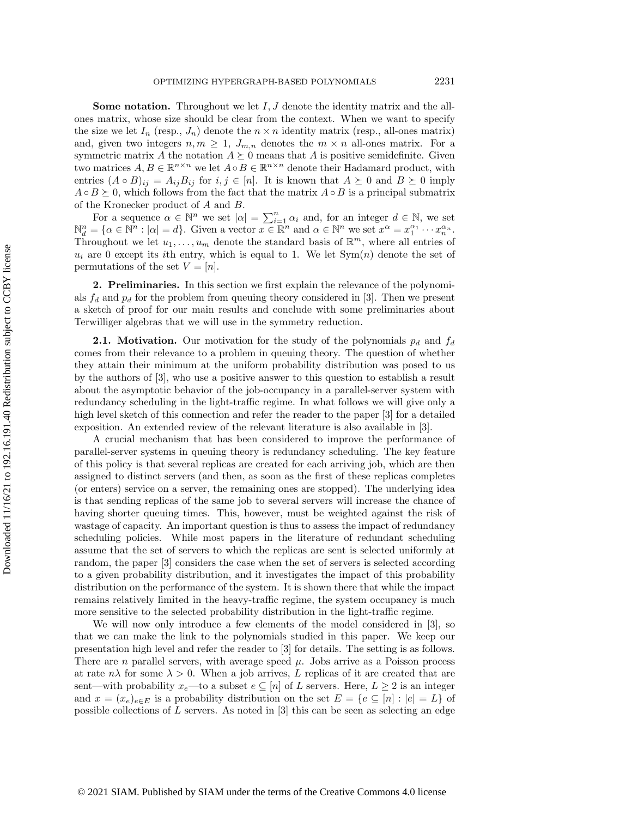**Some notation.** Throughout we let  $I, J$  denote the identity matrix and the allones matrix, whose size should be clear from the context. When we want to specify the size we let  $I_n$  (resp.,  $J_n$ ) denote the  $n \times n$  identity matrix (resp., all-ones matrix) and, given two integers  $n, m \geq 1$ ,  $J_{m,n}$  denotes the  $m \times n$  all-ones matrix. For a symmetric matrix A the notation  $A \succeq 0$  means that A is positive semidefinite. Given two matrices  $A, B \in \mathbb{R}^{n \times n}$  we let  $A \circ B \in \mathbb{R}^{n \times n}$  denote their Hadamard product, with entries  $(A \circ B)_{ij} = A_{ij}B_{ij}$  for  $i, j \in [n]$ . It is known that  $A \succeq 0$  and  $B \succeq 0$  imply  $A \circ B \succeq 0$ , which follows from the fact that the matrix  $A \circ B$  is a principal submatrix of the Kronecker product of A and B.

For a sequence  $\alpha \in \mathbb{N}^n$  we set  $|\alpha| = \sum_{i=1}^n \alpha_i$  and, for an integer  $d \in \mathbb{N}$ , we set  $\mathbb{N}_d^n = \{ \alpha \in \mathbb{N}^n : |\alpha| = d \}.$  Given a vector  $x \in \mathbb{R}^n$  and  $\alpha \in \mathbb{N}^n$  we set  $x^\alpha = x_1^{\alpha_1} \cdots x_n^{\alpha_n}$ . Throughout we let  $u_1, \ldots, u_m$  denote the standard basis of  $\mathbb{R}^m$ , where all entries of  $u_i$  are 0 except its ith entry, which is equal to 1. We let  $Sym(n)$  denote the set of permutations of the set  $V = [n]$ .

2. Preliminaries. In this section we first explain the relevance of the polynomials  $f_d$  and  $p_d$  for the problem from queuing theory considered in [\[3\]](#page-26-0). Then we present a sketch of proof for our main results and conclude with some preliminaries about Terwilliger algebras that we will use in the symmetry reduction.

<span id="page-4-0"></span>**2.1.** Motivation. Our motivation for the study of the polynomials  $p_d$  and  $f_d$ comes from their relevance to a problem in queuing theory. The question of whether they attain their minimum at the uniform probability distribution was posed to us by the authors of [\[3\]](#page-26-0), who use a positive answer to this question to establish a result about the asymptotic behavior of the job-occupancy in a parallel-server system with redundancy scheduling in the light-traffic regime. In what follows we will give only a high level sketch of this connection and refer the reader to the paper [\[3\]](#page-26-0) for a detailed exposition. An extended review of the relevant literature is also available in [\[3\]](#page-26-0).

A crucial mechanism that has been considered to improve the performance of parallel-server systems in queuing theory is redundancy scheduling. The key feature of this policy is that several replicas are created for each arriving job, which are then assigned to distinct servers (and then, as soon as the first of these replicas completes (or enters) service on a server, the remaining ones are stopped). The underlying idea is that sending replicas of the same job to several servers will increase the chance of having shorter queuing times. This, however, must be weighted against the risk of wastage of capacity. An important question is thus to assess the impact of redundancy scheduling policies. While most papers in the literature of redundant scheduling assume that the set of servers to which the replicas are sent is selected uniformly at random, the paper [\[3\]](#page-26-0) considers the case when the set of servers is selected according to a given probability distribution, and it investigates the impact of this probability distribution on the performance of the system. It is shown there that while the impact remains relatively limited in the heavy-traffic regime, the system occupancy is much more sensitive to the selected probability distribution in the light-traffic regime.

We will now only introduce a few elements of the model considered in [\[3\]](#page-26-0), so that we can make the link to the polynomials studied in this paper. We keep our presentation high level and refer the reader to [\[3\]](#page-26-0) for details. The setting is as follows. There are n parallel servers, with average speed  $\mu$ . Jobs arrive as a Poisson process at rate  $n\lambda$  for some  $\lambda > 0$ . When a job arrives, L replicas of it are created that are sent—with probability  $x_e$ —to a subset  $e \subseteq [n]$  of L servers. Here,  $L \geq 2$  is an integer and  $x = (x_e)_{e \in E}$  is a probability distribution on the set  $E = \{ e \subseteq [n] : |e| = L\}$  of possible collections of L servers. As noted in [\[3\]](#page-26-0) this can be seen as selecting an edge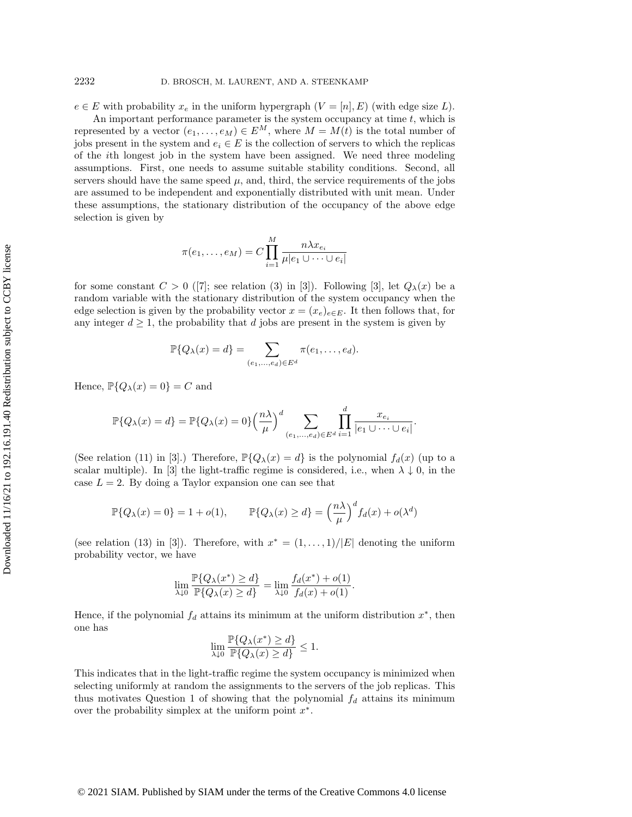$e \in E$  with probability  $x_e$  in the uniform hypergraph  $(V = [n], E)$  (with edge size L).

An important performance parameter is the system occupancy at time  $t$ , which is represented by a vector  $(e_1, \ldots, e_M) \in E^M$ , where  $M = M(t)$  is the total number of jobs present in the system and  $e_i \in E$  is the collection of servers to which the replicas of the ith longest job in the system have been assigned. We need three modeling assumptions. First, one needs to assume suitable stability conditions. Second, all servers should have the same speed  $\mu$ , and, third, the service requirements of the jobs are assumed to be independent and exponentially distributed with unit mean. Under these assumptions, the stationary distribution of the occupancy of the above edge selection is given by

$$
\pi(e_1,\ldots,e_M)=C\prod_{i=1}^M\frac{n\lambda x_{e_i}}{\mu|e_1\cup\cdots\cup e_i|}
$$

forsome constant  $C > 0$  ([\[7\]](#page-26-13); see relation (3) in [\[3\]](#page-26-0)). Following [3], let  $Q_\lambda(x)$  be a random variable with the stationary distribution of the system occupancy when the edge selection is given by the probability vector  $x = (x_e)_{e\in E}$ . It then follows that, for any integer  $d \geq 1$ , the probability that d jobs are present in the system is given by

$$
\mathbb{P}\{Q_{\lambda}(x) = d\} = \sum_{(e_1,\ldots,e_d)\in E^d} \pi(e_1,\ldots,e_d).
$$

Hence,  $\mathbb{P} \{ Q_\lambda (x) = 0\} = C$  and

$$
\mathbb{P}\{Q_{\lambda}(x) = d\} = \mathbb{P}\{Q_{\lambda}(x) = 0\} \left(\frac{n\lambda}{\mu}\right)^d \sum_{(e_1,\ldots,e_d)\in E^d} \prod_{i=1}^d \frac{x_{e_i}}{|e_1 \cup \cdots \cup e_i|}
$$

.

(See relation (11) in [\[3\]](#page-26-0).) Therefore,  $\mathbb{P} \{ Q_\lambda (x) = d\}$  is the polynomial  $f_d(x)$  (up to a scalar multiple). In [\[3\]](#page-26-0) the light-traffic regime is considered, i.e., when  $\lambda \downarrow 0$ , in the case  $L = 2$ . By doing a Taylor expansion one can see that

$$
\mathbb{P}\{Q_{\lambda}(x) = 0\} = 1 + o(1), \qquad \mathbb{P}\{Q_{\lambda}(x) \ge d\} = \left(\frac{n\lambda}{\mu}\right)^d f_d(x) + o(\lambda^d)
$$

(see relation (13) in [\[3\]](#page-26-0)). Therefore, with  $x^* = (1, \ldots, 1)/|E|$  denoting the uniform probability vector, we have

$$
\lim_{\lambda \downarrow 0} \frac{\mathbb{P}\{Q_{\lambda}(x^*) \ge d\}}{\mathbb{P}\{Q_{\lambda}(x) \ge d\}} = \lim_{\lambda \downarrow 0} \frac{f_d(x^*) + o(1)}{f_d(x) + o(1)}.
$$

Hence, if the polynomial  $f_d$  attains its minimum at the uniform distribution  $x^*$ , then one has

$$
\lim_{\lambda\downarrow 0}\frac{\mathbb{P}\{Q_{\lambda}(x^*)\geq d\}}{\mathbb{P}\{Q_{\lambda}(x)\geq d\}}\leq 1.
$$

This indicates that in the light-traffic regime the system occupancy is minimized when selecting uniformly at random the assignments to the servers of the job replicas. This thus motivates Question [1](#page-1-4) of showing that the polynomial  $f_d$  attains its minimum over the probability simplex at the uniform point  $x^*$ .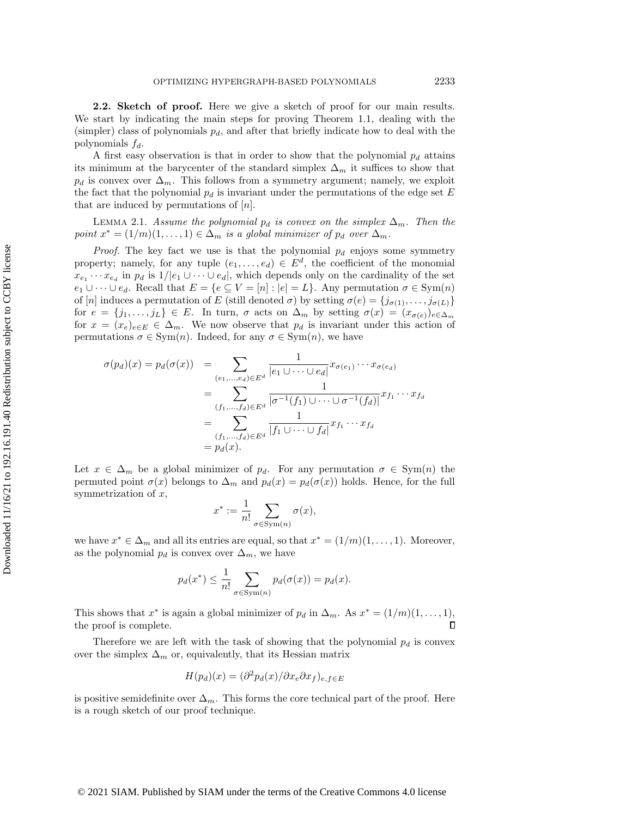<span id="page-6-0"></span>2.2. Sketch of proof. Here we give a sketch of proof for our main results. We start by indicating the main steps for proving Theorem [1.1,](#page-1-1) dealing with the (simpler) class of polynomials  $p_d$ , and after that briefly indicate how to deal with the polynomials  $f_d$ .

A first easy observation is that in order to show that the polynomial  $p_d$  attains its minimum at the barycenter of the standard simplex  $\Delta_m$  it suffices to show that  $p_d$  is convex over  $\Delta_m$ . This follows from a symmetry argument; namely, we exploit the fact that the polynomial  $p_d$  is invariant under the permutations of the edge set E that are induced by permutations of  $[n]$ .

<span id="page-6-1"></span>LEMMA 2.1. Assume the polynomial  $p_d$  is convex on the simplex  $\Delta_m$ . Then the point  $x^* = (1/m)(1, \ldots, 1) \in \Delta_m$  is a global minimizer of  $p_d$  over  $\Delta_m$ .

*Proof.* The key fact we use is that the polynomial  $p_d$  enjoys some symmetry property; namely, for any tuple  $(e_1, \ldots, e_d) \in E^d$ , the coefficient of the monomial  $x_{e_1} \cdots x_{e_d}$  in  $p_d$  is  $1/|e_1 \cup \cdots \cup e_d|$ , which depends only on the cardinality of the set  $e_1 \cup \cdots \cup e_d$ . Recall that  $E = \{ e \subseteq V = [n] : |e| = L\}$ . Any permutation  $\sigma \in \text{Sym}(n)$ of [n] induces a permutation of E (still denoted  $\sigma$ ) by setting  $\sigma (e) = \{ j_{\sigma (1)}, \ldots, j_{\sigma (L)}\}$ for  $e = \{ j_1, \ldots, j_L\} \in E$ . In turn,  $\sigma$  acts on  $\Delta_m$  by setting  $\sigma (x) = (x_{\sigma (e)})_{e\in \Delta_m}$ for  $x = (x_e)_{e \in E} \in \Delta_m$ . We now observe that  $p_d$  is invariant under this action of permutations  $\sigma \in \text{Sym}(n)$ . Indeed, for any  $\sigma \in \text{Sym}(n)$ , we have

$$
\sigma(p_d)(x) = p_d(\sigma(x)) = \sum_{\substack{(e_1,\ldots,e_d)\in E^d\\(f_1,\ldots,f_d)\in E^d}}\frac{1}{|e_1\cup\cdots\cup e_d|}x_{\sigma(e_1)}\cdots x_{\sigma(e_d)}
$$

$$
= \sum_{\substack{(f_1,\ldots,f_d)\in E^d\\(f_1,\ldots,f_d)\in E^d}}\frac{1}{|\sigma^{-1}(f_1)\cup\cdots\cup\sigma^{-1}(f_d)|}x_{f_1}\cdots x_{f_d}
$$

$$
= \sum_{\substack{(f_1,\ldots,f_d)\in E^d\\(f_1,\ldots,f_d)\in E^d}}\frac{1}{|f_1\cup\cdots\cup f_d|}x_{f_1}\cdots x_{f_d}
$$

Let  $x \in \Delta_m$  be a global minimizer of  $p_d$ . For any permutation  $\sigma \in \text{Sym}(n)$  the permuted point  $\sigma (x)$  belongs to  $\Delta_m$  and  $p_d(x) = p_d(\sigma (x))$  holds. Hence, for the full symmetrization of  $x$ ,

$$
x^* := \frac{1}{n!} \sum_{\sigma \in \text{Sym}(n)} \sigma(x),
$$

we have  $x^* \in \Delta_m$  and all its entries are equal, so that  $x^* = (1/m)(1, \ldots, 1)$ . Moreover, as the polynomial  $p_d$  is convex over  $\Delta_m$ , we have

$$
p_d(x^*) \le \frac{1}{n!} \sum_{\sigma \in \text{Sym}(n)} p_d(\sigma(x)) = p_d(x).
$$

This shows that  $x^*$  is again a global minimizer of  $p_d$  in  $\Delta_m$ . As  $x^* = (1/m)(1, \ldots, 1)$ , the proof is complete.

Therefore we are left with the task of showing that the polynomial  $p_d$  is convex over the simplex  $\Delta_m$  or, equivalently, that its Hessian matrix

$$
H(p_d)(x) = (\partial^2 p_d(x)/\partial x_e \partial x_f)_{e,f \in E}
$$

is positive semidefinite over  $\Delta_m$ . This forms the core technical part of the proof. Here is a rough sketch of our proof technique.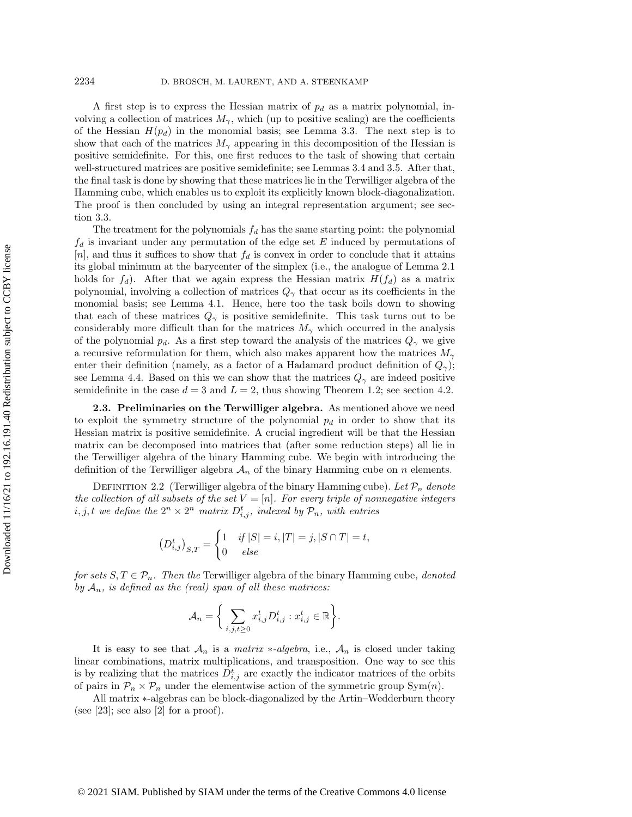A first step is to express the Hessian matrix of  $p_d$  as a matrix polynomial, involving a collection of matrices  $M_\gamma$ , which (up to positive scaling) are the coefficients of the Hessian  $H(p_d)$  in the monomial basis; see Lemma [3.3.](#page-10-0) The next step is to show that each of the matrices  $M_\gamma$  appearing in this decomposition of the Hessian is positive semidefinite. For this, one first reduces to the task of showing that certain well-structured matrices are positive semidefinite; see Lemmas [3.4](#page-11-0) and [3.5.](#page-11-1) After that, the final task is done by showing that these matrices lie in the Terwilliger algebra of the Hamming cube, which enables us to exploit its explicitly known block-diagonalization. The proof is then concluded by using an integral representation argument; see section [3.3.](#page-13-0)

The treatment for the polynomials  $f_d$  has the same starting point: the polynomial  $f_d$  is invariant under any permutation of the edge set E induced by permutations of [n], and thus it suffices to show that  $f_d$  is convex in order to conclude that it attains its global minimum at the barycenter of the simplex (i.e., the analogue of Lemma [2.1](#page-6-1) holds for  $f_d$ ). After that we again express the Hessian matrix  $H(f_d)$  as a matrix polynomial, involving a collection of matrices  $Q_\gamma$  that occur as its coefficients in the monomial basis; see Lemma [4.1.](#page-16-0) Hence, here too the task boils down to showing that each of these matrices  $Q_\gamma$  is positive semidefinite. This task turns out to be considerably more difficult than for the matrices  $M_\gamma$  which occurred in the analysis of the polynomial  $p_d$ . As a first step toward the analysis of the matrices  $Q_\gamma$  we give a recursive reformulation for them, which also makes apparent how the matrices  $M_\gamma$ enter their definition (namely, as a factor of a Hadamard product definition of  $Q_\gamma$ ); see Lemma [4.4.](#page-17-0) Based on this we can show that the matrices  $Q_\gamma$  are indeed positive semidefinite in the case  $d = 3$  and  $L = 2$ , thus showing Theorem [1.2;](#page-1-2) see section [4.2.](#page-18-0)

<span id="page-7-1"></span>2.3. Preliminaries on the Terwilliger algebra. As mentioned above we need to exploit the symmetry structure of the polynomial  $p_d$  in order to show that its Hessian matrix is positive semidefinite. A crucial ingredient will be that the Hessian matrix can be decomposed into matrices that (after some reduction steps) all lie in the Terwilliger algebra of the binary Hamming cube. We begin with introducing the definition of the Terwilliger algebra  $\mathcal{A}_n$  of the binary Hamming cube on n elements.

DEFINITION 2.2 (Terwilliger algebra of the binary Hamming cube). Let  $\mathcal{P}_n$  denote the collection of all subsets of the set  $V = [n]$ . For every triple of nonnegative integers  $i, j, t$  we define the  $2^n \times 2^n$  matrix  $D_{i,j}^t$ , indexed by  $\mathcal{P}_n$ , with entries

$$
(D_{i,j}^t)_{S,T} = \begin{cases} 1 & \text{if } |S| = i, |T| = j, |S \cap T| = t, \\ 0 & \text{else} \end{cases}
$$

for sets  $S, T \in \mathcal{P}_n$ . Then the Terwilliger algebra of the binary Hamming cube, denoted by  $\mathcal{A}_n$ , is defined as the (real) span of all these matrices:

$$
\mathcal{A}_n = \bigg\{\sum_{i,j,t\geq 0} x_{i,j}^t D_{i,j}^t : x_{i,j}^t \in \mathbb{R}\bigg\}.
$$

It is easy to see that  $\mathcal{A}_n$  is a matrix  $\ast$ -algebra, i.e.,  $\mathcal{A}_n$  is closed under taking linear combinations, matrix multiplications, and transposition. One way to see this is by realizing that the matrices  $D_{i,j}^t$  are exactly the indicator matrices of the orbits of pairs in  $\mathcal{P}_n \times \mathcal{P}_n$  under the elementwise action of the symmetric group Sym $(n)$ .

<span id="page-7-0"></span>All matrix  $*$ -algebras can be block-diagonalized by the Artin-Wedderburn theory (see [\[23\]](#page-27-5); see also [\[2\]](#page-26-14) for a proof).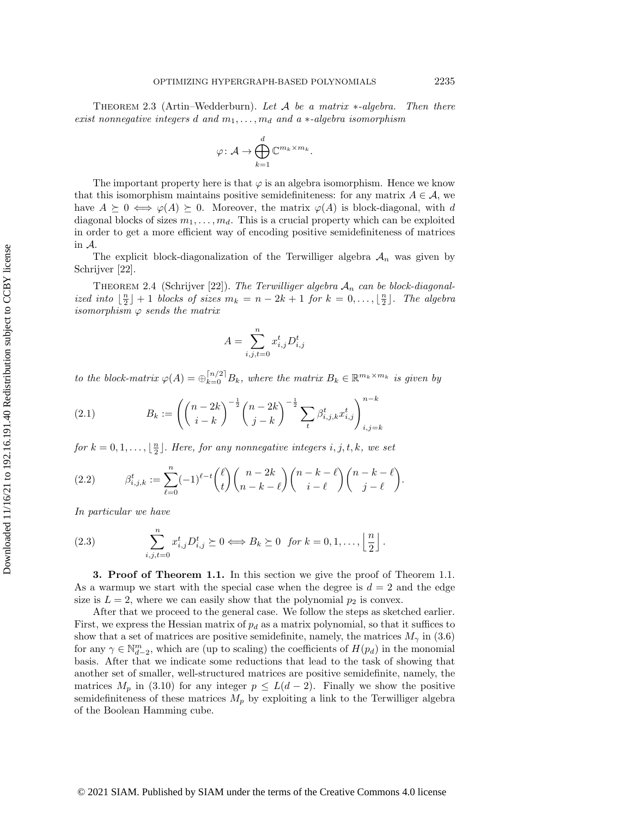THEOREM 2.3 (Artin-Wedderburn). Let  $\cal{A}$  be a matrix  $\ast$ -algebra. Then there exist nonnegative integers d and  $m_1, \ldots, m_d$  and a  $\ast$ -algebra isomorphism

$$
\varphi\colon \mathcal{A} \to \bigoplus_{k=1}^d \mathbb{C}^{m_k \times m_k}.
$$

The important property here is that  $\varphi$  is an algebra isomorphism. Hence we know that this isomorphism maintains positive semidefiniteness: for any matrix  $A \in \mathcal{A}$ , we have  $A \succeq 0 \Leftrightarrow \varphi (A) \succeq 0$ . Moreover, the matrix  $\varphi (A)$  is block-diagonal, with d diagonal blocks of sizes  $m_1, \ldots, m_d$ . This is a crucial property which can be exploited in order to get a more efficient way of encoding positive semidefiniteness of matrices in  $\mathcal A$ .

The explicit block-diagonalization of the Terwilliger algebra  $\mathcal{A}_n$  was given by Schrijver [\[22\]](#page-27-1).

<span id="page-8-0"></span>THEOREM 2.4 (Schrijver [\[22\]](#page-27-1)). The Terwilliger algebra  $\mathcal{A}_n$  can be block-diagonalized into  $\lfloor \frac{n}{2} \rfloor + 1$  blocks of sizes  $m_k = n - 2k + 1$  for  $k = 0, \ldots, \lfloor \frac{n}{2} \rfloor$ . The algebra isomorphism  $\varphi$  sends the matrix

$$
A = \sum_{i,j,t=0}^{n} x_{i,j}^t D_{i,j}^t
$$

to the block-matrix  $\varphi (A) = \bigoplus_{k=0}^{\lfloor n/2\rfloor} B_k$ , where the matrix  $B_k \in \mathbb{R}^{m_k \times m_k}$  is given by

<span id="page-8-2"></span>(2.1) 
$$
B_k := \left( \binom{n-2k}{i-k}^{-\frac{1}{2}} \binom{n-2k}{j-k}^{-\frac{1}{2}} \sum_{t} \beta_{i,j,k}^t x_{i,j}^t \right)_{i,j=k}^{n-k}
$$

for  $k = 0, 1, \ldots, \lfloor \frac{n}{2} \rfloor$ . Here, for any nonnegative integers i, j, t, k, we set

(2.2) 
$$
\beta_{i,j,k}^t := \sum_{\ell=0}^n (-1)^{\ell-t} {\ell \choose t} {n-2k \choose n-k-\ell} {n-k-\ell \choose i-\ell} {n-k-\ell \choose j-\ell}.
$$

In particular we have

(2.3) 
$$
\sum_{i,j,t=0}^{n} x_{i,j}^{t} D_{i,j}^{t} \succeq 0 \iff B_{k} \succeq 0 \text{ for } k = 0, 1, \dots, \left\lfloor \frac{n}{2} \right\rfloor.
$$

<span id="page-8-1"></span>**3. Proof of Theorem [1.1.](#page-1-1)** In this section we give the proof of Theorem 1.1. As a warmup we start with the special case when the degree is  $d = 2$  and the edge size is  $L = 2$ , where we can easily show that the polynomial  $p_2$  is convex.

After that we proceed to the general case. We follow the steps as sketched earlier. First, we express the Hessian matrix of  $p_d$  as a matrix polynomial, so that it suffices to show that a set of matrices are positive semidefinite, namely, the matrices  $M_\gamma$  in [\(3.6\)](#page-10-1) for any  $\gamma \in \mathbb N_{d-2}^m$ , which are (up to scaling) the coefficients of  $H(p_d)$  in the monomial basis. After that we indicate some reductions that lead to the task of showing that another set of smaller, well-structured matrices are positive semidefinite, namely, the matrices  $M_p$  in [\(3.10\)](#page-11-2) for any integer  $p \leq L(d - 2)$ . Finally we show the positive semidefiniteness of these matrices  $M_p$  by exploiting a link to the Terwilliger algebra of the Boolean Hamming cube.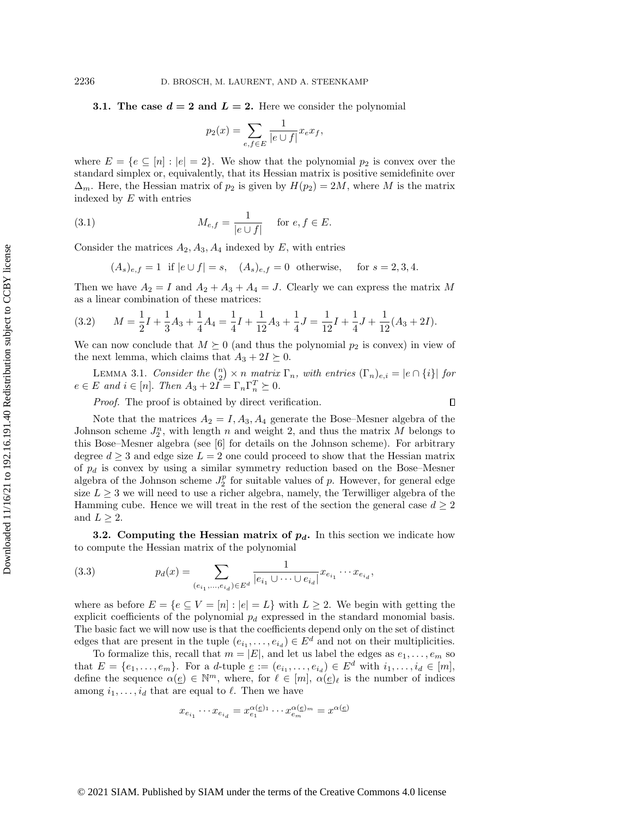<span id="page-9-2"></span>3.1. The case  $d = 2$  and  $\bar{L} = 2$ . Here we consider the polynomial

<span id="page-9-1"></span>
$$
p_2(x) = \sum_{e,f \in E} \frac{1}{|e \cup f|} x_e x_f,
$$

where  $E = \{ e \subseteq [n] : |e| = 2\}$ . We show that the polynomial  $p_2$  is convex over the standard simplex or, equivalently, that its Hessian matrix is positive semidefinite over  $\Delta_m$ . Here, the Hessian matrix of  $p_2$  is given by  $H(p_2) = 2M$ , where M is the matrix indexed by  $E$  with entries

(3.1) 
$$
M_{e,f} = \frac{1}{|e \cup f|} \quad \text{for } e, f \in E.
$$

Consider the matrices  $A_2, A_3, A_4$  indexed by E, with entries

 $(A_s)_{e,f} = 1$  if  $|e \cup f| = s$ ,  $(A_s)_{e,f} = 0$  otherwise, for  $s = 2, 3, 4$ .

Then we have  $A_2 = I$  and  $A_2 + A_3 + A_4 = J$ . Clearly we can express the matrix M as a linear combination of these matrices:

<span id="page-9-3"></span>(3.2) 
$$
M = \frac{1}{2}I + \frac{1}{3}A_3 + \frac{1}{4}A_4 = \frac{1}{4}I + \frac{1}{12}A_3 + \frac{1}{4}J = \frac{1}{12}I + \frac{1}{4}J + \frac{1}{12}(A_3 + 2I).
$$

We can now conclude that  $M \succeq 0$  (and thus the polynomial  $p_2$  is convex) in view of the next lemma, which claims that  $A_3 + 2I \succeq 0$ .

<span id="page-9-4"></span>LEMMA 3.1. Consider the  $\binom{n}{2} \times n$  matrix  $\Gamma_n$ , with entries  $(\Gamma_n)_{e,i} = |e \cap \{i\}|$  for  $e \in E$  and  $i \in [n]$ . Then  $A_3 + 2\widetilde{I} = \Gamma_n\Gamma_n^T \succeq 0$ .

 $\Box$ 

Proof. The proof is obtained by direct verification.

Note that the matrices  $A_2 = I, A_3, A_4$  generate the Bose-Mesner algebra of the Johnson scheme  $J_2^n$ , with length n and weight 2, and thus the matrix M belongs to this Bose-Mesner algebra (see [\[6\]](#page-26-2) for details on the Johnson scheme). For arbitrary degree  $d \geq 3$  and edge size  $L = 2$  one could proceed to show that the Hessian matrix of  $p_d$  is convex by using a similar symmetry reduction based on the Bose-Mesner algebra of the Johnson scheme  $J_2^p$  for suitable values of p. However, for general edge size  $L \geq 3$  we will need to use a richer algebra, namely, the Terwilliger algebra of the Hamming cube. Hence we will treat in the rest of the section the general case  $d \geq 2$ and  $L \geq 2$ .

**3.2.** Computing the Hessian matrix of  $p_d$ . In this section we indicate how to compute the Hessian matrix of the polynomial

<span id="page-9-0"></span>(3.3) 
$$
p_d(x) = \sum_{(e_{i_1}, \dots, e_{i_d}) \in E^d} \frac{1}{|e_{i_1} \cup \dots \cup e_{i_d}|} x_{e_{i_1}} \cdots x_{e_{i_d}},
$$

where as before  $E = \{ e \subseteq V = [n] : |e| = L\}$  with  $L \geq 2$ . We begin with getting the explicit coefficients of the polynomial  $p_d$  expressed in the standard monomial basis. The basic fact we will now use is that the coefficients depend only on the set of distinct edges that are present in the tuple  $(e_{i_1}, \ldots, e_{i_d}) \in E^d$  and not on their multiplicities.

To formalize this, recall that  $m = |E|$ , and let us label the edges as  $e_1, \ldots, e_m$  so that  $E = \{e_1, \ldots, e_m\}$ . For a d-tuple  $\underline{e} := (e_{i_1}, \ldots, e_{i_d}) \in E^d$  with  $i_1, \ldots, i_d \in [m],$ define the sequence  $\alpha (\underline{e}) \in \mathbb{N}^m$ , where, for  $\ell \in [m], \alpha (\underline{e})_\ell$  is the number of indices among  $i_1, \ldots, i_d$  that are equal to  $\ell$ . Then we have

$$
x_{e_{i_1}}\cdots x_{e_{i_d}}=x_{e_1}^{\alpha(\underline{e})_1}\cdots x_{e_m}^{\alpha(\underline{e})_m}=x^{\alpha(\underline{e})}
$$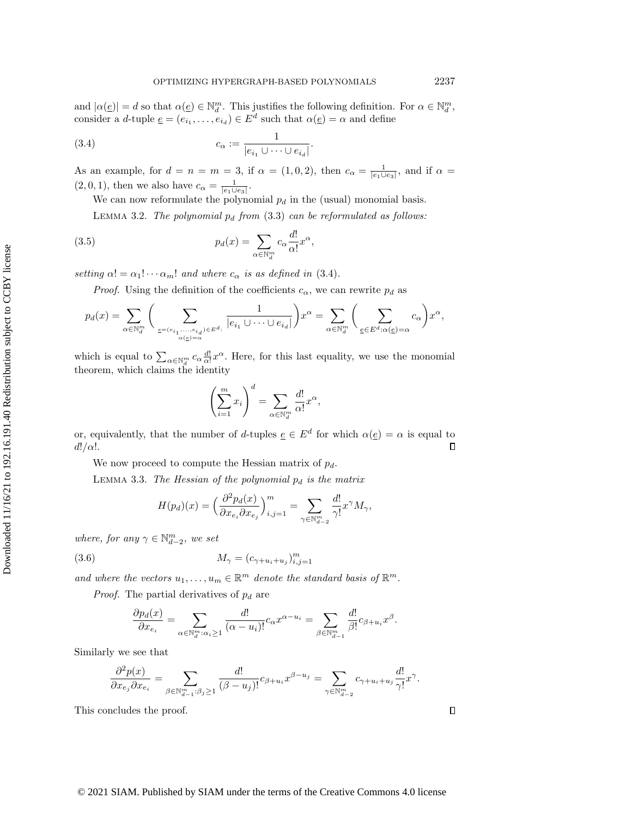and  $|\alpha (\underline{e})| = d$  so that  $\alpha (\underline{e}) \in \mathbb{N}_d^m$ . This justifies the following definition. For  $\alpha \in \mathbb{N}_d^m$ , consider a *d*-tuple  $\underline{e} = (e_{i_1}, \ldots, e_{i_d}) \in E^d$  such that  $\alpha(\underline{e}) = \alpha$  and define

(3.4) 
$$
c_{\alpha} := \frac{1}{|e_{i_1} \cup \dots \cup e_{i_d}|}.
$$

As an example, for  $d = n = m = 3$ , if  $\alpha = (1, 0, 2)$ , then  $c_\alpha = \frac{1}{|e_1 \cup e_3|}$ , and if  $\alpha =$  $(2, 0, 1)$ , then we also have  $c_\alpha = \frac{1}{|e_1 \cup e_3|}$ .

<span id="page-10-2"></span>We can now reformulate the polynomial  $p_d$  in the (usual) monomial basis.

LEMMA 3.2. The polynomial  $p_d$  from  $(3.3)$  can be reformulated as follows:

(3.5) 
$$
p_d(x) = \sum_{\alpha \in \mathbb{N}_d^m} c_{\alpha} \frac{d!}{\alpha!} x^{\alpha},
$$

setting  $\alpha! = \alpha_1! \cdots \alpha_m!$  and where  $c_\alpha$  is as defined in [\(3.4\)](#page-10-2).

*Proof.* Using the definition of the coefficients  $c_\alpha$ , we can rewrite  $p_d$  as

$$
p_d(x) = \sum_{\alpha \in \mathbb{N}_d^m} \bigg( \sum_{\substack{\underline{e} = (e_{i_1}, \dots, e_{i_d}) \in E^d : \ a(\underline{e}) = \alpha}} \frac{1}{|e_{i_1} \cup \dots \cup e_{i_d}|} \bigg) x^{\alpha} = \sum_{\alpha \in \mathbb{N}_d^m} \bigg( \sum_{\underline{e} \in E^d : \alpha(\underline{e}) = \alpha} c_{\alpha} \bigg) x^{\alpha},
$$

which is equal to  $\sum_{\alpha \in \mathbb{N}_d^m} c_{\alpha} \frac{d!}{\alpha!} x^{\alpha}$ . Here, for this last equality, we use the monomial theorem, which claims the identity

$$
\left(\sum_{i=1}^m x_i\right)^d = \sum_{\alpha \in \mathbb{N}_d^m} \frac{d!}{\alpha!} x^{\alpha},
$$

or, equivalently, that the number of d-tuples  $\underline{e} \in E^d$  for which  $\alpha (\underline{e}) = \alpha$  is equal to  $d!/\alpha!$ .  $\Box$ 

We now proceed to compute the Hessian matrix of  $p_d$ .

<span id="page-10-0"></span>LEMMA 3.3. The Hessian of the polynomial  $p_d$  is the matrix

<span id="page-10-1"></span>
$$
H(p_d)(x) = \left(\frac{\partial^2 p_d(x)}{\partial x_{e_i}\partial x_{e_j}}\right)_{i,j=1}^m = \sum_{\gamma \in \mathbb{N}^m_{d-2}} \frac{d!}{\gamma!} x^{\gamma} M_{\gamma},
$$

where, for any  $\gamma \in \mathbb N_{d-2}^m$ , we set

(3.6) 
$$
M_{\gamma} = (c_{\gamma + u_i + u_j})_{i,j=1}^m
$$

and where the vectors  $u_1, \ldots, u_m \in \mathbb{R}^m$  denote the standard basis of  $\Bbb R^m$ .

*Proof.* The partial derivatives of  $p_d$  are

$$
\frac{\partial p_d(x)}{\partial x_{e_i}} = \sum_{\alpha \in \mathbb{N}_d^m : \alpha_i \ge 1} \frac{d!}{(\alpha - u_i)!} c_\alpha x^{\alpha - u_i} = \sum_{\beta \in \mathbb{N}_{d-1}^m} \frac{d!}{\beta!} c_{\beta + u_i} x^\beta.
$$

Similarly we see that

$$
\frac{\partial^2 p(x)}{\partial x_{e_j}\partial x_{e_i}}=\sum_{\beta\in\mathbb{N}^m_{d-1}:\beta_j\geq 1}\frac{d!}{(\beta-u_j)!}c_{\beta+u_i}x^{\beta-u_j}=\sum_{\gamma\in\mathbb{N}^m_{d-2}}c_{\gamma+u_i+u_j}\frac{d!}{\gamma!}x^\gamma.
$$

This concludes the proof.

 $\Box$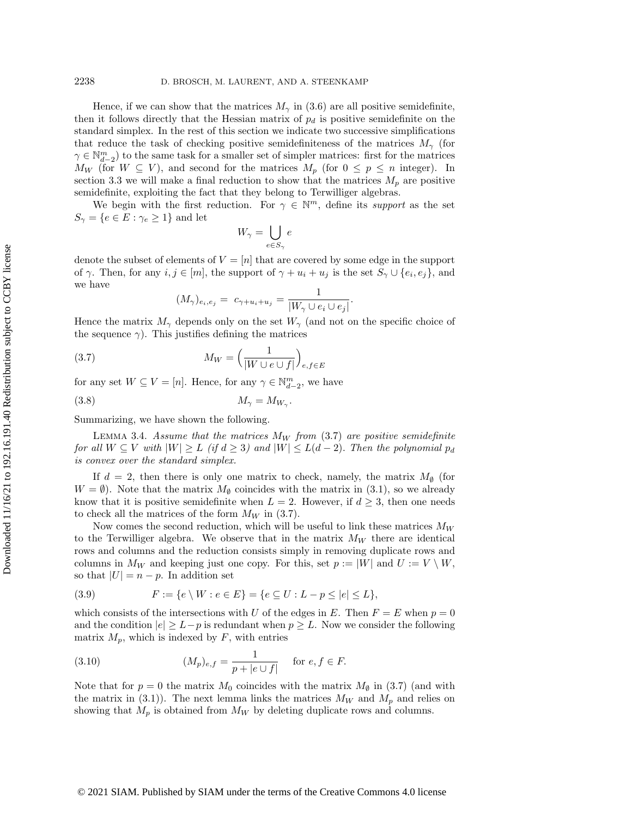Hence, if we can show that the matrices  $M_\gamma$  in [\(3.6\)](#page-10-1) are all positive semidefinite, then it follows directly that the Hessian matrix of  $p_d$  is positive semidefinite on the standard simplex. In the rest of this section we indicate two successive simplifications that reduce the task of checking positive semidefiniteness of the matrices  $M_\gamma$  (for  $\gamma \in \mathbb N_{d-2}^m$ ) to the same task for a smaller set of simpler matrices: first for the matrices  $M_W$  (for  $W \subseteq V$ ), and second for the matrices  $M_p$  (for  $0 \leq p \leq n$  integer). In section [3.3](#page-13-0) we will make a final reduction to show that the matrices  $M_p$  are positive semidefinite, exploiting the fact that they belong to Terwilliger algebras.

We begin with the first reduction. For  $\gamma \in \mathbb N^m$ , define its support as the set  $S_{\gamma} = \{ e \in E : \gamma_e \geq 1\}$  and let

$$
W_{\gamma} = \bigcup_{e \in S_{\gamma}} e
$$

denote the subset of elements of  $V = [n]$  that are covered by some edge in the support of  $\gamma$ . Then, for any  $i, j \in [m]$ , the support of  $\gamma + u_i + u_j$  is the set  $S_\gamma \cup \{ e_i, e_j \}$ , and we have

<span id="page-11-5"></span><span id="page-11-3"></span>
$$
(M_{\gamma})_{e_i,e_j} = c_{\gamma+u_i+u_j} = \frac{1}{|W_{\gamma} \cup e_i \cup e_j|}
$$

.

Hence the matrix  $M_\gamma$  depends only on the set  $W_\gamma$  (and not on the specific choice of the sequence  $\gamma$ ). This justifies defining the matrices

(3.7) 
$$
M_W = \left(\frac{1}{|W \cup e \cup f|}\right)_{e,f \in E}
$$

for any set  $W \subseteq V = [n]$ . Hence, for any  $\gamma \in \mathbb{N}^m_{d-2}$ , we have

$$
(3.8) \t\t M_{\gamma} = M_{W_{\gamma}}.
$$

Summarizing, we have shown the following.

<span id="page-11-0"></span>LEMMA 3.4. Assume that the matrices  $M_W$  from [\(3.7\)](#page-11-3) are positive semidefinite for all  $W \subseteq V$  with  $|W| \geq L$  (if  $d \geq 3$ ) and  $|W| \leq L(d - 2)$ . Then the polynomial  $p_d$ is convex over the standard simplex.

If  $d = 2$ , then there is only one matrix to check, namely, the matrix  $M_{\phi}$  (for  $W = \emptyset$ . Note that the matrix  $M_\emptyset$  coincides with the matrix in [\(3.1\)](#page-9-1), so we already know that it is positive semidefinite when  $L = 2$ . However, if  $d \geq 3$ , then one needs to check all the matrices of the form  $M_W$  in [\(3.7\)](#page-11-3).

Now comes the second reduction, which will be useful to link these matrices  $M_W$ to the Terwilliger algebra. We observe that in the matrix  $M_W$  there are identical rows and columns and the reduction consists simply in removing duplicate rows and columns in  $M_W$  and keeping just one copy. For this, set  $p := |W|$  and  $U := V \setminus W$ , so that  $|U| = n - p$ . In addition set

<span id="page-11-4"></span>(3.9) 
$$
F := \{e \setminus W : e \in E\} = \{e \subseteq U : L - p \le |e| \le L\},\
$$

which consists of the intersections with U of the edges in E. Then  $F = E$  when  $p = 0$ and the condition  $|e| \geq L - p$  is redundant when  $p \geq L$ . Now we consider the following matrix  $M_p$ , which is indexed by  $F$ , with entries

<span id="page-11-2"></span>(3.10) 
$$
(M_p)_{e,f} = \frac{1}{p + |e \cup f|} \quad \text{for } e, f \in F.
$$

<span id="page-11-1"></span>Note that for  $p = 0$  the matrix  $M_0$  coincides with the matrix  $M_\emptyset$  in [\(3.7\)](#page-11-3) (and with the matrix in [\(3.1\)](#page-9-1)). The next lemma links the matrices  $M_W$  and  $M_p$  and relies on showing that  $M_p$  is obtained from  $M_W$  by deleting duplicate rows and columns.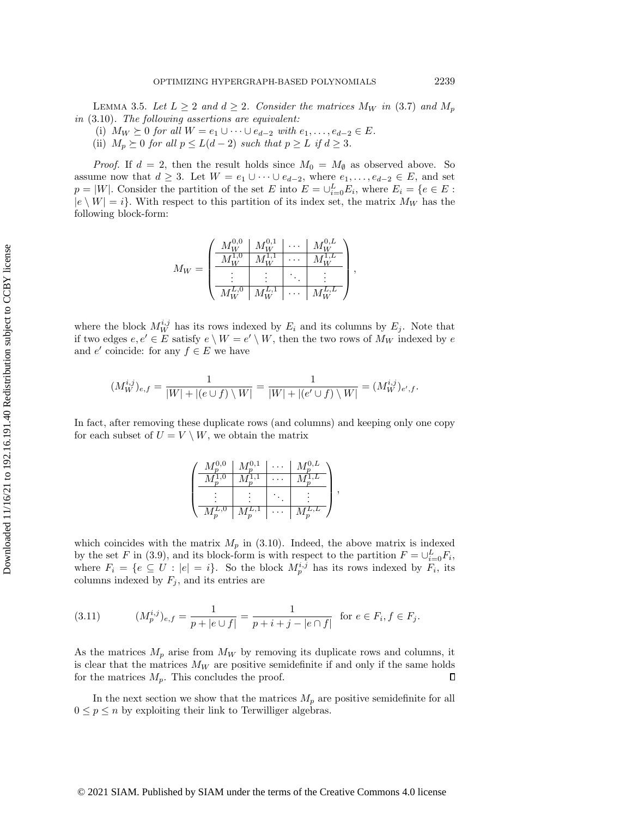LEMMA 3.5. Let  $L \geq 2$  and  $d \geq 2$ . Consider the matrices  $M_W$  in [\(3.7\)](#page-11-3) and  $M_p$ in [\(3.10\)](#page-11-2). The following assertions are equivalent:

- (i)  $M_W \succeq 0$  for all  $W = e_1 \cup \cdots \cup e_{d-2}$  with  $e_1, \ldots, e_{d-2} \in E$ .
- (ii)  $M_p \succeq 0$  for all  $p \leq L(d 2)$  such that  $p \geq L$  if  $d \geq 3$ .

*Proof.* If  $d = 2$ , then the result holds since  $M_0 = M_\emptyset$  as observed above. So assume now that  $d \geq 3$ . Let  $W = e_1 \cup \cdots \cup e_{d-2}$ , where  $e_1, \ldots, e_{d-2} \in E$ , and set  $p = |W|$ . Consider the partition of the set E into  $E = \bigcup_{i=0}^{L} E_i$ , where  $E_i = \{e \in E :$  $|e \setminus W| = i\}$ . With respect to this partition of its index set, the matrix  $M_W$  has the following block-form:

$$
M_W = \begin{pmatrix} \frac{M_W^{0,0} & M_W^{0,1} & \cdots & M_W^{0,L}}{M_W^{1,1} & \cdots & M_W^{1,L}} \\ \frac{M_W^{1,0} & M_W^{1,1} & \cdots & M_W^{1,L}}{\vdots & \ddots & \vdots & \vdots \\ \frac{M_W^{L,0} & M_W^{L,1} & \cdots & M_W^{L,L}}{\vdots} \end{pmatrix},
$$

where the block  $M_W^{i,j}$  has its rows indexed by  $E_i$  and its columns by  $E_j$ . Note that if two edges  $e, e' \in E$  satisfy  $e \setminus W = e' \setminus W$ , then the two rows of  $M_W$  indexed by  $e$ and  $e'$  coincide: for any  $f \in E$  we have

$$
(M_W^{i,j})_{e,f} = \frac{1}{|W| + |(e \cup f) \setminus W|} = \frac{1}{|W| + |(e' \cup f) \setminus W|} = (M_W^{i,j})_{e',f}.
$$

In fact, after removing these duplicate rows (and columns) and keeping only one copy for each subset of  $U = V \setminus W$ , we obtain the matrix

|  | $M^{0,0}_n$ | $M^{0,1}_-$   | $M_n^{0,L}$     |  |
|--|-------------|---------------|-----------------|--|
|  |             |               |                 |  |
|  |             |               |                 |  |
|  | $M_p^{L,0}$ | $M_n^{\mu,1}$ | $M_n^{\mu,\mu}$ |  |

which coincides with the matrix  $M_p$  in [\(3.10\)](#page-11-2). Indeed, the above matrix is indexed by the set F in [\(3.9\)](#page-11-4), and its block-form is with respect to the partition  $F = \bigcup_{i=0}^{L} F_i$ , where  $F_i = \{ e \subseteq U : |e| = i \}.$  So the block  $M_p^{i,j}$  has its rows indexed by  $F_i$ , its columns indexed by  $F_j$ , and its entries are

<span id="page-12-0"></span>(3.11) 
$$
(M_p^{i,j})_{e,f} = \frac{1}{p + |e \cup f|} = \frac{1}{p + i + j - |e \cap f|} \text{ for } e \in F_i, f \in F_j.
$$

As the matrices  $M_p$  arise from  $M_W$  by removing its duplicate rows and columns, it is clear that the matrices  $M_W$  are positive semidefinite if and only if the same holds for the matrices  $M_p$ . This concludes the proof.  $\Box$ 

In the next section we show that the matrices  $M_p$  are positive semidefinite for all  $0 \leq p \leq n$  by exploiting their link to Terwilliger algebras.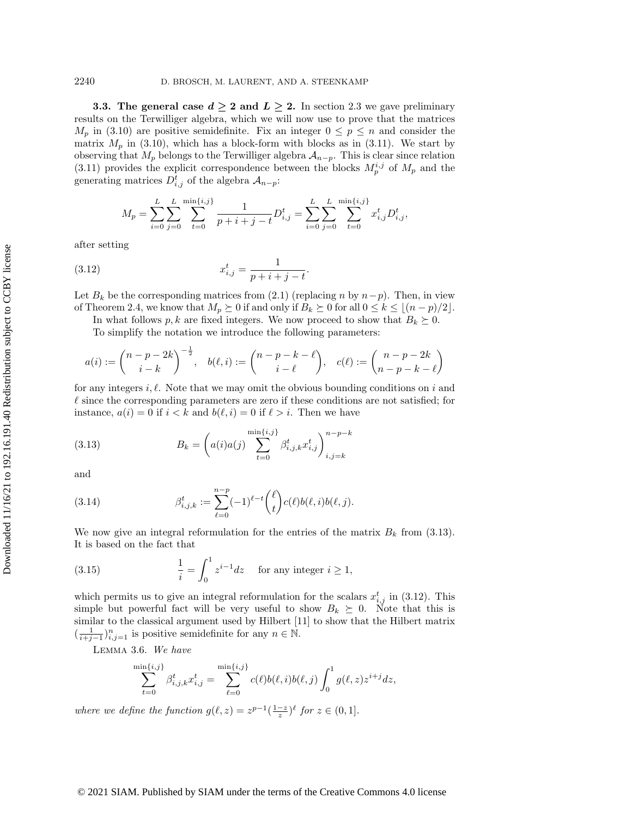<span id="page-13-0"></span>**3.3.** The general case  $d \geq 2$  and  $L \geq 2$ . In section [2.3](#page-7-1) we gave preliminary results on the Terwilliger algebra, which we will now use to prove that the matrices  $M_p$  in [\(3.10\)](#page-11-2) are positive semidefinite. Fix an integer  $0 \leq p \leq n$  and consider the matrix  $M_p$  in [\(3.10\)](#page-11-2), which has a block-form with blocks as in [\(3.11\)](#page-12-0). We start by observing that  $M_p$  belongs to the Terwilliger algebra  $\mathcal{A}_{n-p}$ . This is clear since relation [\(3.11\)](#page-12-0) provides the explicit correspondence between the blocks  $M_p^{i,j}$  of  $M_p$  and the generating matrices  $D_{i,j}^t$  of the algebra  $\mathcal{A}_{n-p}$ :

<span id="page-13-2"></span>
$$
M_p = \sum_{i=0}^{L} \sum_{j=0}^{\min\{i,j\}} \frac{1}{p+i+j-t} D_{i,j}^t = \sum_{i=0}^{L} \sum_{j=0}^{\min\{i,j\}} x_{i,j}^t D_{i,j}^t,
$$

after setting

(3.12) 
$$
x_{i,j}^t = \frac{1}{p+i+j-t}.
$$

Let  $B_k$  be the corresponding matrices from [\(2.1\)](#page-8-2) (replacing n by  $n-p$ ). Then, in view of Theorem [2.4,](#page-8-0) we know that  $M_p \succeq 0$  if and only if  $B_k \succeq 0$  for all  $0 \leq k \leq \lfloor (n - p)/2\rfloor$ .

In what follows p, k are fixed integers. We now proceed to show that  $B_k \succeq 0$ . To simplify the notation we introduce the following parameters:

$$
a(i):=\binom{n-p-2k}{i-k}^{-\frac{1}{2}},\quad b(\ell,i):=\binom{n-p-k-\ell}{i-\ell},\quad c(\ell):=\binom{n-p-2k}{n-p-k-\ell}
$$

for any integers i,  $\ell$ . Note that we may omit the obvious bounding conditions on i and  $\ell$  since the corresponding parameters are zero if these conditions are not satisfied; for instance,  $a(i) = 0$  if  $i < k$  and  $b(\ell , i) = 0$  if  $\ell > i$ . Then we have

<span id="page-13-1"></span>(3.13) 
$$
B_k = \left( a(i)a(j) \sum_{t=0}^{\min\{i,j\}} \beta_{i,j,k}^t x_{i,j}^t \right)_{i,j=k}^{n-p-k}
$$

and

<span id="page-13-3"></span>(3.14) 
$$
\beta_{i,j,k}^t := \sum_{\ell=0}^{n-p} (-1)^{\ell-t} {\ell \choose t} c(\ell)b(\ell,i)b(\ell,j).
$$

We now give an integral reformulation for the entries of the matrix  $B_k$  from [\(3.13\)](#page-13-1). It is based on the fact that

<span id="page-13-4"></span>(3.15) 
$$
\frac{1}{i} = \int_0^1 z^{i-1} dz \quad \text{for any integer } i \ge 1,
$$

which permits us to give an integral reformulation for the scalars  $x_{i,j}^t$  in [\(3.12\)](#page-13-2). This simple but powerful fact will be very useful to show  $B_k \succeq 0$ . Note that this is similar to the classical argument used by Hilbert [\[11\]](#page-26-15) to show that the Hilbert matrix  $\left(\frac{1}{i+j-1}\right)_{i,j=1}^n$  is positive semidefinite for any  $n \in \mathbb{N}$ .

<span id="page-13-5"></span>Lemma 3.6. We have

$$
\sum_{t=0}^{\min\{i,j\}} \beta_{i,j,k}^t x_{i,j}^t = \sum_{\ell=0}^{\min\{i,j\}} c(\ell)b(\ell,i)b(\ell,j) \int_0^1 g(\ell,z) z^{i+j} dz,
$$

where we define the function  $g(\ell , z) = z^{p-1} \left(\frac{1-z}{z}\right)^{\ell}$  for  $z \in (0, 1]$ .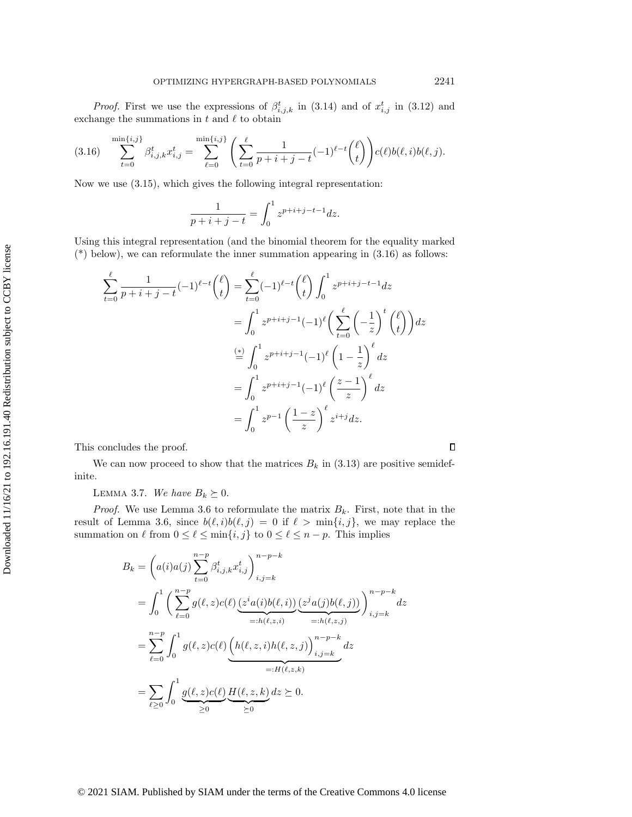*Proof.* First we use the expressions of  $\beta_{i,j,k}^t$  in [\(3.14\)](#page-13-3) and of  $x_{i,j}^t$  in [\(3.12\)](#page-13-2) and exchange the summations in  $t$  and  $\ell$  to obtain

<span id="page-14-0"></span>
$$
(3.16) \quad \sum_{t=0}^{\min\{i,j\}} \beta_{i,j,k}^t x_{i,j}^t = \sum_{\ell=0}^{\min\{i,j\}} \left( \sum_{t=0}^{\ell} \frac{1}{p+i+j-t} (-1)^{\ell-t} {\ell \choose t} \right) c(\ell) b(\ell,i) b(\ell,j).
$$

Now we use [\(3.15\)](#page-13-4), which gives the following integral representation:

$$
\frac{1}{p+i+j-t} = \int_0^1 z^{p+i+j-t-1} dz.
$$

Using this integral representation (and the binomial theorem for the equality marked  $(*)$  below), we can reformulate the inner summation appearing in  $(3.16)$  as follows:

$$
\sum_{t=0}^{\ell} \frac{1}{p+i+j-t} (-1)^{\ell-t} {\ell \choose t} = \sum_{t=0}^{\ell} (-1)^{\ell-t} {\ell \choose t} \int_0^1 z^{p+i+j-t-1} dz
$$
  

$$
= \int_0^1 z^{p+i+j-1} (-1)^{\ell} {\left(\sum_{t=0}^{\ell} {\left(-\frac{1}{z}\right)}^t {\ell \choose t} \right)} dz
$$
  

$$
\stackrel{(*)}{=} \int_0^1 z^{p+i+j-1} (-1)^{\ell} {\left(1-\frac{1}{z}\right)}^{\ell} dz
$$
  

$$
= \int_0^1 z^{p+i+j-1} (-1)^{\ell} {\left(\frac{z-1}{z}\right)}^{\ell} dz
$$
  

$$
= \int_0^1 z^{p-1} {\left(\frac{1-z}{z}\right)}^{\ell} z^{i+j} dz.
$$

This concludes the proof.

We can now proceed to show that the matrices  $B_k$  in [\(3.13\)](#page-13-1) are positive semidefinite.

LEMMA 3.7. We have  $B_k \succeq 0$ .

*Proof.* We use Lemma [3.6](#page-13-5) to reformulate the matrix  $B_k$ . First, note that in the result of Lemma [3.6,](#page-13-5) since  $b(\ell , i)b(\ell , j) = 0$  if  $\ell > \min\{i, j\}$ , we may replace the summation on  $\ell$  from  $0 \leq \ell \leq \min\{ i, j\}$  to  $0 \leq \ell \leq n - p$ . This implies

$$
B_k = \left(a(i)a(j)\sum_{t=0}^{n-p} \beta_{i,j,k}^t x_{i,j}^t\right)_{i,j=k}^{n-p-k}
$$
  
\n
$$
= \int_0^1 \left(\sum_{\ell=0}^{n-p} g(\ell,z)c(\ell) \underbrace{(z^i a(i)b(\ell,i))}_{=:h(\ell,z,i)} \underbrace{(z^j a(j)b(\ell,j))}_{=:h(\ell,z,j)}\right)_{i,j=k}^{n-p-k} dz
$$
  
\n
$$
= \sum_{\ell=0}^{n-p} \int_0^1 g(\ell,z)c(\ell) \underbrace{\left(h(\ell,z,i)h(\ell,z,j)\right)_{i,j=k}^{n-p-k}}_{=:H(\ell,z,k)} dz
$$
  
\n
$$
= \sum_{\ell\geq 0} \int_0^1 \underbrace{g(\ell,z)c(\ell)}_{\geq 0} \underbrace{H(\ell,z,k)}_{\geq 0} dz \geq 0.
$$

 $\Box$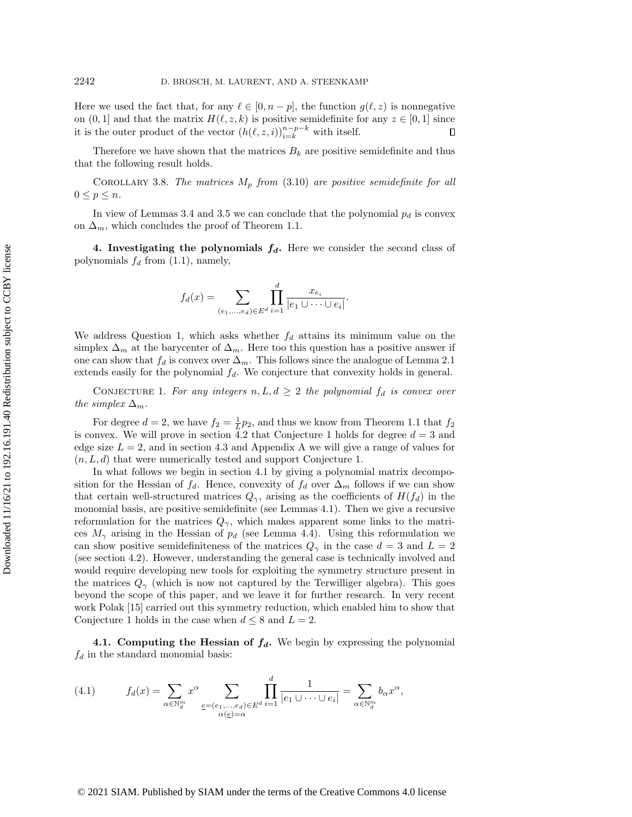Here we used the fact that, for any  $\ell \in [0, n - p]$ , the function  $g(\ell , z)$  is nonnegative on  $(0, 1]$  and that the matrix  $H(\ell, z, k)$  is positive semidefinite for any  $z \in [0, 1]$  since it is the outer product of the vector  $(h(\ell , z, i))_{i=k}^{n-p-k}$  with itself.  $\Box$ 

Therefore we have shown that the matrices  $B_k$  are positive semidefinite and thus that the following result holds.

<span id="page-15-3"></span>COROLLARY 3.8. The matrices  $M_p$  from [\(3.10\)](#page-11-2) are positive semidefinite for all  $0 \leq p \leq n$ .

In view of Lemmas [3.4](#page-11-0) and [3.5](#page-11-1) we can conclude that the polynomial  $p_d$  is convex on  $\Delta_m$ , which concludes the proof of Theorem [1.1.](#page-1-1)

<span id="page-15-0"></span>4. Investigating the polynomials  $f_d$ . Here we consider the second class of polynomials  $f_d$  from  $(1.1)$ , namely,

$$
f_d(x) = \sum_{(e_1,\ldots,e_d)\in E^d} \prod_{i=1}^d \frac{x_{e_i}}{|e_1 \cup \cdots \cup e_i|}.
$$

We address Question [1,](#page-1-4) which asks whether  $f_d$  attains its minimum value on the simplex  $\Delta_m$  at the barycenter of  $\Delta_m$ . Here too this question has a positive answer if one can show that  $f_d$  is convex over  $\Delta_m$ . This follows since the analogue of Lemma [2.1](#page-6-1) extends easily for the polynomial  $f_d$ . We conjecture that convexity holds in general.

<span id="page-15-1"></span>CONJECTURE 1. For any integers  $n, L, d \geq 2$  the polynomial  $f_d$  is convex over the simplex  $\Delta_m.$ 

For degree  $d = 2$ , we have  $f_2 = \frac{1}{L}p_2$ , and thus we know from Theorem [1.1](#page-1-1) that  $f_2$ is convex. We will prove in section [4.2](#page-18-0) that Conjecture [1](#page-15-1) holds for degree  $d = 3$  and edge size  $L = 2$ , and in section [4.3](#page-22-0) and Appendix A we will give a range of values for  $(n, L, d)$  that were numerically tested and support Conjecture [1.](#page-15-1)

In what follows we begin in section [4.1](#page-15-2) by giving a polynomial matrix decomposition for the Hessian of  $f_d$ . Hence, convexity of  $f_d$  over  $\Delta_m$  follows if we can show that certain well-structured matrices  $Q_\gamma$ , arising as the coefficients of  $H(f_d)$  in the monomial basis, are positive semidefinite (see Lemmas [4.1\)](#page-16-0). Then we give a recursive reformulation for the matrices  $Q_\gamma$ , which makes apparent some links to the matrices  $M_\gamma$  arising in the Hessian of  $p_d$  (see Lemma [4.4\)](#page-17-0). Using this reformulation we can show positive semidefiniteness of the matrices  $Q_\gamma$  in the case  $d = 3$  and  $L = 2$ (see section [4.2\)](#page-18-0). However, understanding the general case is technically involved and would require developing new tools for exploiting the symmetry structure present in the matrices  $Q_\gamma$  (which is now not captured by the Terwilliger algebra). This goes beyond the scope of this paper, and we leave it for further research. In very recent work Polak [\[15\]](#page-26-16) carried out this symmetry reduction, which enabled him to show that Conjecture [1](#page-15-1) holds in the case when  $d \leq 8$  and  $L = 2$ .

<span id="page-15-2"></span>4.1. Computing the Hessian of  $f_d$ . We begin by expressing the polynomial  $f_d$  in the standard monomial basis:

(4.1) 
$$
f_d(x) = \sum_{\alpha \in \mathbb{N}_d^m} x^{\alpha} \sum_{\substack{e = (e_1, \dots, e_d) \in E^d \\ \alpha(e) = \alpha}} \prod_{i=1}^d \frac{1}{|e_1 \cup \dots \cup e_i|} = \sum_{\alpha \in \mathbb{N}_d^m} b_{\alpha} x^{\alpha},
$$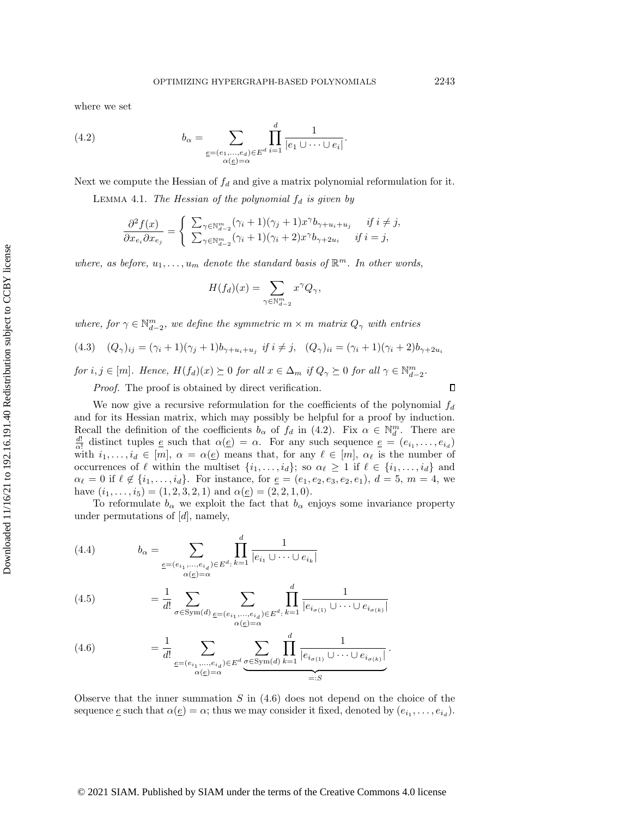where we set

<span id="page-16-1"></span>(4.2) 
$$
b_{\alpha} = \sum_{\substack{\underline{e} = (e_1, \ldots, e_d) \in E^d \\ \alpha(\underline{e}) = \alpha}} \prod_{i=1}^d \frac{1}{|e_1 \cup \cdots \cup e_i|}.
$$

<span id="page-16-0"></span>Next we compute the Hessian of  $f_d$  and give a matrix polynomial reformulation for it.

LEMMA 4.1. The Hessian of the polynomial  $f_d$  is given by

$$
\frac{\partial^2 f(x)}{\partial x_{e_i} \partial x_{e_j}} = \begin{cases} \sum_{\gamma \in \mathbb{N}_{d-2}^m} (\gamma_i + 1)(\gamma_j + 1)x^{\gamma} b_{\gamma + u_i + u_j} & \text{if } i \neq j, \\ \sum_{\gamma \in \mathbb{N}_{d-2}^m} (\gamma_i + 1)(\gamma_i + 2)x^{\gamma} b_{\gamma + 2u_i} & \text{if } i = j, \end{cases}
$$

where, as before,  $u_1, \ldots, u_m$  denote the standard basis of  $\mathbb{R}^m$ . In other words,

$$
H(f_d)(x) = \sum_{\gamma \in \mathbb{N}_{d-2}^m} x^{\gamma} Q_{\gamma},
$$

where, for  $\gamma \in \mathbb N_{d-2}^m$ , we define the symmetric  $m \times m$  matrix  $Q_\gamma$  with entries

<span id="page-16-3"></span>(4.3) 
$$
(Q_{\gamma})_{ij} = (\gamma_i + 1)(\gamma_j + 1)b_{\gamma + u_i + u_j} \text{ if } i \neq j, \quad (Q_{\gamma})_{ii} = (\gamma_i + 1)(\gamma_i + 2)b_{\gamma + 2u_i}
$$

for  $i, j \in [m]$ . Hence,  $H(f_d)(x) \succeq 0$  for all  $x \in \Delta_m$  if  $Q_\gamma \succeq 0$  for all  $\gamma \in \mathbb N_{d-2}^m$ .

Proof. The proof is obtained by direct verification.

We now give a recursive reformulation for the coefficients of the polynomial  $f_d$ and for its Hessian matrix, which may possibly be helpful for a proof by induction. Recall the definition of the coefficients  $b_\alpha$  of  $f_d$  in [\(4.2\)](#page-16-1). Fix  $\alpha \in \mathbb N_d^m$ . There are  $\frac{d!}{\alpha!}$  distinct tuples  $\underline{e}$  such that  $\alpha (\underline{e}) = \alpha$ . For any such sequence  $\underline{e} = (e_{i_1}, \ldots, e_{i_d})$ with  $i_1, \ldots, i_d \in [m], \alpha = \alpha (\underline{e})$  means that, for any  $\ell \in [m], \alpha_\ell$  is the number of occurrences of  $\ell$  within the multiset  $\{i_1, \ldots, i_d\}$ ; so  $\alpha_\ell \geq 1$  if  $\ell \in \{i_1, \ldots, i_d\}$  and  $\alpha \in \{i_1, \ldots, i_d\}$ . For instance, for  $\underline{e} = (e_1, e_2, e_3, e_2, e_1), d = 5, m = 4$ , we have  $(i_1, \ldots, i_5) = (1, 2, 3, 2, 1)$  and  $\alpha (\underline{e}) = (2, 2, 1, 0).$ 

To reformulate  $b_\alpha$  we exploit the fact that  $b_\alpha$  enjoys some invariance property under permutations of  $[d]$ , namely,

(4.4) 
$$
b_{\alpha} = \sum_{\substack{\underline{e} = (e_{i_1}, \dots, e_{i_d}) \in E^d : k = 1}} \prod_{i = 1}^d \frac{1}{|e_{i_1} \cup \dots \cup e_{i_k}|}
$$

(4.5) 
$$
= \frac{1}{d!} \sum_{\sigma \in \text{Sym}(d)} \sum_{\substack{\underline{e} = (e_{i_1}, \dots, e_{i_d}) \in E^d : \\ \alpha(\underline{e}) = \alpha}} \prod_{k=1}^d \frac{1}{|e_{i_{\sigma(1)}} \cup \dots \cup e_{i_{\sigma(k)}}|}
$$

<span id="page-16-2"></span>(4.6) 
$$
= \frac{1}{d!} \sum_{\substack{e = (e_{i_1}, ..., e_{i_d}) \in E^d}} \sum_{\substack{\sigma \in \text{Sym}(d) \\ \sigma(e) = \alpha}} \prod_{k=1}^d \frac{1}{|e_{i_{\sigma(1)}} \cup \dots \cup e_{i_{\sigma(k)}}|}.
$$

Observe that the inner summation  $S$  in  $(4.6)$  does not depend on the choice of the sequence  $\underline{e}$  such that  $\alpha (\underline{e}) = \alpha$ ; thus we may consider it fixed, denoted by  $(e_{i_1}, \ldots, e_{i_d})$ .

## © 2021 SIAM. Published by SIAM under the terms of the Creative Commons 4.0 license

 $\Box$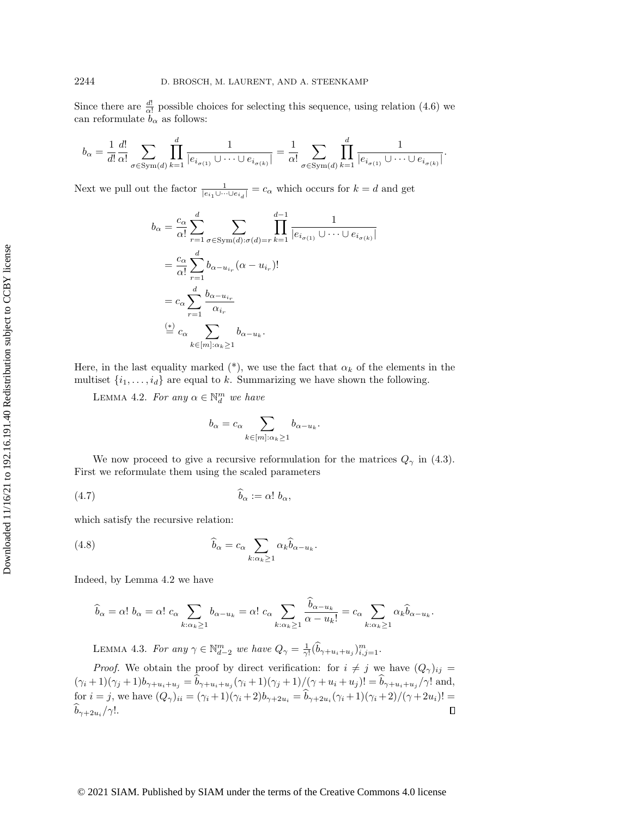Since there are  $\frac{d!}{\alpha!}$  possible choices for selecting this sequence, using relation [\(4.6\)](#page-16-2) we can reformulate  $b_\alpha$  as follows:

$$
b_{\alpha} = \frac{1}{d!} \frac{d!}{\alpha!} \sum_{\sigma \in \text{Sym}(d)} \prod_{k=1}^{d} \frac{1}{|e_{i_{\sigma(1)}} \cup \dots \cup e_{i_{\sigma(k)}}|} = \frac{1}{\alpha!} \sum_{\sigma \in \text{Sym}(d)} \prod_{k=1}^{d} \frac{1}{|e_{i_{\sigma(1)}} \cup \dots \cup e_{i_{\sigma(k)}}|}.
$$

Next we pull out the factor  $\frac{1}{|e_{i_1}\cup \cdots \cup e_{i_d}|}=c_\alpha$  which occurs for  $k = d$  and get

$$
b_{\alpha} = \frac{c_{\alpha}}{\alpha!} \sum_{r=1}^{d} \sum_{\sigma \in \text{Sym}(d): \sigma(d) = r} \prod_{k=1}^{d-1} \frac{1}{|e_{i_{\sigma(1)}} \cup \dots \cup e_{i_{\sigma(k)}}|}
$$
  

$$
= \frac{c_{\alpha}}{\alpha!} \sum_{r=1}^{d} b_{\alpha - u_{i_r}} (\alpha - u_{i_r})!
$$
  

$$
= c_{\alpha} \sum_{r=1}^{d} \frac{b_{\alpha - u_{i_r}}}{\alpha_{i_r}}
$$
  

$$
\stackrel{(*)}{=} c_{\alpha} \sum_{k \in [m]: \alpha_k \ge 1} b_{\alpha - u_k}.
$$

Here, in the last equality marked (\*), we use the fact that  $\alpha_k$  of the elements in the multiset  $\{i_1, \ldots, i_d\}$  are equal to k. Summarizing we have shown the following.

<span id="page-17-1"></span>LEMMA 4.2. For any  $\alpha \in \mathbb N_d^m$  we have

$$
b_{\alpha} = c_{\alpha} \sum_{k \in [m]: \alpha_k \ge 1} b_{\alpha - u_k}
$$

.

We now proceed to give a recursive reformulation for the matrices  $Q_\gamma$  in [\(4.3\)](#page-16-3). First we reformulate them using the scaled parameters

(4.7) \widehat b\alpha := \alpha ! <sup>b</sup>\alpha ,

which satisfy the recursive relation:

(4.8) 
$$
\widehat{b}_{\alpha} = c_{\alpha} \sum_{k:\alpha_k \ge 1} \alpha_k \widehat{b}_{\alpha - u_k}.
$$

Indeed, by Lemma [4.2](#page-17-1) we have

$$
\widehat{b}_{\alpha} = \alpha! \ b_{\alpha} = \alpha! \ c_{\alpha} \sum_{k:\alpha_k \ge 1} b_{\alpha - u_k} = \alpha! \ c_{\alpha} \sum_{k:\alpha_k \ge 1} \frac{\widehat{b}_{\alpha - u_k}}{\alpha - u_k!} = c_{\alpha} \sum_{k:\alpha_k \ge 1} \alpha_k \widehat{b}_{\alpha - u_k}.
$$

LEMMA 4.3. For any  $\gamma \in \mathbb N_{d-2}^m$  we have  $Q_\gamma = \frac{1}{\gamma!} (\widehat{b}_{\gamma+u_i+u_j})_{i,j=1}^m$ .

<span id="page-17-0"></span>*Proof.* We obtain the proof by direct verification: for  $i \neq j$  we have  $(Q_\gamma)_{ij} =$  $(\gamma_i + 1)(\gamma_j + 1)b_{\gamma + u_i+u_j} = b_{\gamma + u_i+u_j}(\gamma_i + 1)(\gamma_j + 1)/(\gamma + u_i + u_j)! = b_{\gamma + u_i+u_j}/\gamma!$  and, for  $i = j$ , we have  $(Q_\gamma)_{ii} = (\gamma_i + 1)(\gamma_i + 2)b_{\gamma + 2u_i} = b_{\gamma + 2u_i}(\gamma_i + 1)(\gamma_i + 2)/(\gamma + 2u_i)! =$  $b_{\gamma +2u_i}/\gamma!$ .  $\Box$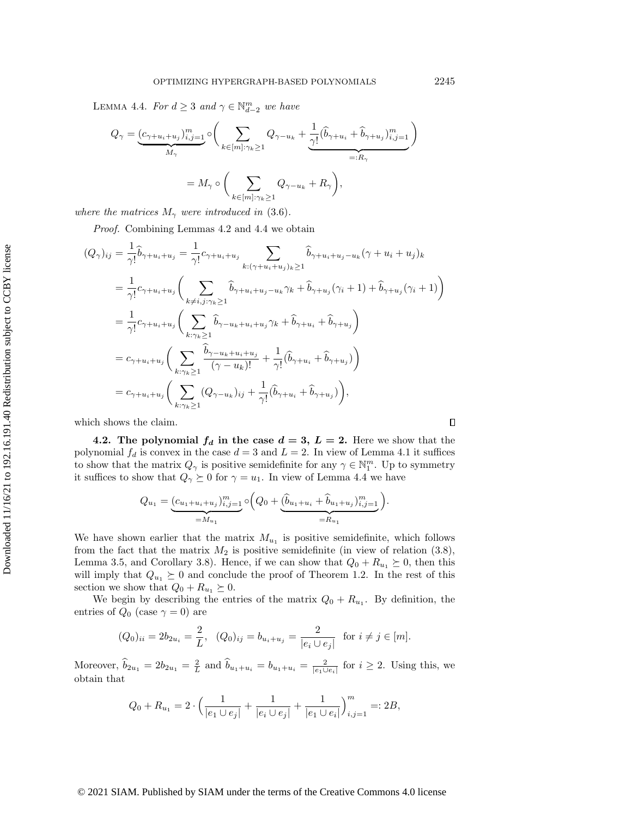LEMMA 4.4. For  $d \geq 3$  and  $\gamma \in \mathbb N_{d-2}^m$  we have

$$
Q_{\gamma} = \underbrace{(c_{\gamma+u_i+u_j})_{i,j=1}^m}_{M_{\gamma}} \circ \left( \sum_{k \in [m]: \gamma_k \ge 1} Q_{\gamma-u_k} + \underbrace{\frac{1}{\gamma!} (\hat{b}_{\gamma+u_i} + \hat{b}_{\gamma+u_j})_{i,j=1}^m}_{=:R_{\gamma}} \right)
$$
  
=  $M_{\gamma} \circ \left( \sum_{k \in [m]: \gamma_k \ge 1} Q_{\gamma-u_k} + R_{\gamma} \right),$ 

where the matrices  $M_\gamma$  were introduced in [\(3.6\)](#page-10-1).

Proof. Combining Lemmas [4.2](#page-17-1) and [4.4](#page-17-0) we obtain

$$
(Q_{\gamma})_{ij} = \frac{1}{\gamma!} \hat{b}_{\gamma+u_i+u_j} = \frac{1}{\gamma!} c_{\gamma+u_i+u_j} \sum_{k:(\gamma+u_i+u_j)_{k}\geq 1} \hat{b}_{\gamma+u_i+u_j-u_k} (\gamma+u_i+u_j)_{k}
$$
  
\n
$$
= \frac{1}{\gamma!} c_{\gamma+u_i+u_j} \Big( \sum_{k\neq i,j:\gamma_k\geq 1} \hat{b}_{\gamma+u_i+u_j-u_k} \gamma_k + \hat{b}_{\gamma+u_j} (\gamma_i+1) + \hat{b}_{\gamma+u_j} (\gamma_i+1) \Big)
$$
  
\n
$$
= \frac{1}{\gamma!} c_{\gamma+u_i+u_j} \Big( \sum_{k:\gamma_k\geq 1} \hat{b}_{\gamma-u_k+u_i+u_j} \gamma_k + \hat{b}_{\gamma+u_i} + \hat{b}_{\gamma+u_j} \Big)
$$
  
\n
$$
= c_{\gamma+u_i+u_j} \Big( \sum_{k:\gamma_k\geq 1} \frac{\hat{b}_{\gamma-u_k+u_i+u_j}}{(\gamma-u_k)!} + \frac{1}{\gamma!} (\hat{b}_{\gamma+u_i} + \hat{b}_{\gamma+u_j}) \Big)
$$
  
\n
$$
= c_{\gamma+u_i+u_j} \Big( \sum_{k:\gamma_k\geq 1} (Q_{\gamma-u_k})_{ij} + \frac{1}{\gamma!} (\hat{b}_{\gamma+u_i} + \hat{b}_{\gamma+u_j}) \Big),
$$

which shows the claim.

 $\Box$ 

<span id="page-18-0"></span>4.2. The polynomial  $\bar{f}_d$  in the case  $d = 3, \bar{L} = 2$ . Here we show that the polynomial  $f_d$  is convex in the case  $d = 3$  and  $L = 2$ . In view of Lemma [4.1](#page-16-0) it suffices to show that the matrix  $Q_\gamma$  is positive semidefinite for any  $\gamma \in \mathbb N_1^m$ . Up to symmetry it suffices to show that  $Q_\gamma \succeq 0$  for  $\gamma = u_1$ . In view of Lemma [4.4](#page-17-0) we have

$$
Q_{u_1} = \underbrace{(c_{u_1 + u_i + u_j})_{i,j=1}^m}_{=M_{u_1}} \circ \left(Q_0 + \underbrace{(\widehat{b}_{u_1 + u_i} + \widehat{b}_{u_1 + u_j})_{i,j=1}^m}_{=R_{u_1}}\right).
$$

We have shown earlier that the matrix  $M_{u_1}$  is positive semidefinite, which follows from the fact that the matrix  $M_2$  is positive semidefinite (in view of relation  $(3.8)$ , Lemma [3.5,](#page-11-1) and Corollary [3.8\)](#page-15-3). Hence, if we can show that  $Q_0 + R_{u_1} \succeq 0$ , then this will imply that  $Q_{u_1} \succeq 0$  and conclude the proof of Theorem [1.2.](#page-1-2) In the rest of this section we show that  $Q_0 + R_{u_1} \succeq 0$ .

We begin by describing the entries of the matrix  $Q_0 + R_{u_1}$ . By definition, the entries of  $Q_0$  (case  $\gamma = 0$ ) are

$$
(Q_0)_{ii} = 2b_{2u_i} = \frac{2}{L}, (Q_0)_{ij} = b_{u_i + u_j} = \frac{2}{|e_i \cup e_j|}
$$
 for  $i \neq j \in [m]$ .

Moreover,  $\hat b_{2u_1} = 2b_{2u_1} = \frac{2}{L}$  and  $\hat b_{u_1+u_i} = b_{u_1+u_i} = \frac{2}{|e_1 \cup e_i|}$  for  $i \geq 2$ . Using this, we obtain that

$$
Q_0 + R_{u_1} = 2 \cdot \left( \frac{1}{|e_1 \cup e_j|} + \frac{1}{|e_i \cup e_j|} + \frac{1}{|e_1 \cup e_i|} \right)_{i,j=1}^m =: 2B,
$$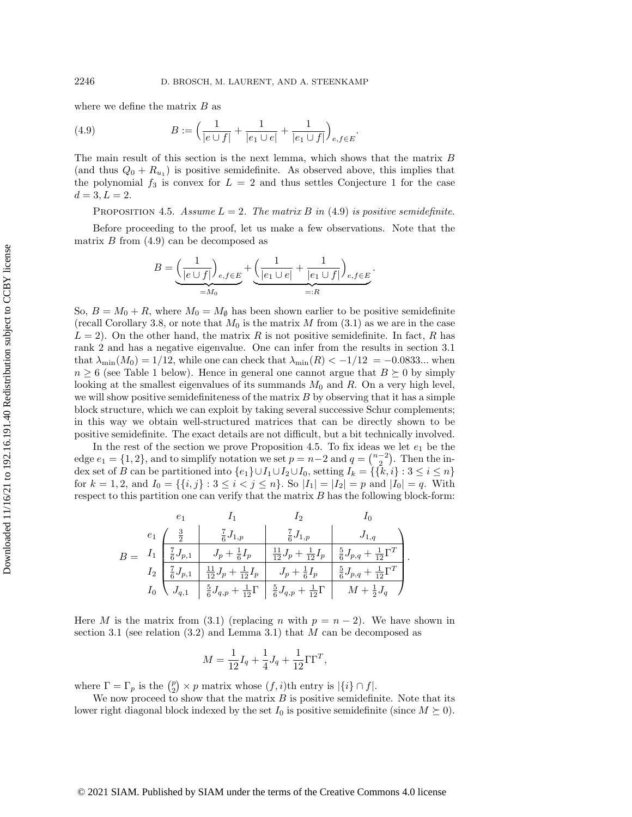where we define the matrix  $B$  as

<span id="page-19-0"></span>(4.9) 
$$
B := \left(\frac{1}{|e \cup f|} + \frac{1}{|e_1 \cup e|} + \frac{1}{|e_1 \cup f|}\right)_{e, f \in E}
$$

The main result of this section is the next lemma, which shows that the matrix B (and thus  $Q_0 + R_{u_1}$ ) is positive semidefinite. As observed above, this implies that the polynomial  $f_3$  is convex for  $L = 2$  and thus settles Conjecture [1](#page-15-1) for the case  $d = 3, L = 2.$ 

<span id="page-19-1"></span>PROPOSITION 4.5. Assume  $L = 2$ . The matrix B in [\(4.9\)](#page-19-0) is positive semidefinite.

.

.

.

Before proceeding to the proof, let us make a few observations. Note that the matrix  $B$  from  $(4.9)$  can be decomposed as

$$
B = \underbrace{\left(\frac{1}{|e \cup f|}\right)_{e,f \in E}}_{=M_0} + \underbrace{\left(\frac{1}{|e_1 \cup e|} + \frac{1}{|e_1 \cup f|}\right)_{e,f \in E}}_{=:R}
$$

So,  $B = M_0 + R$ , where  $M_0 = M_\emptyset$  has been shown earlier to be positive semidefinite (recall Corollary [3.8,](#page-15-3) or note that  $M_0$  is the matrix M from [\(3.1\)](#page-9-1) as we are in the case  $L = 2$ ). On the other hand, the matrix R is not positive semidefinite. In fact, R has rank 2 and has a negative eigenvalue. One can infer from the results in section [3.1](#page-9-2) that  $\lambda_{\min}(M_0) = 1/12$ , while one can check that  $\lambda_{\min}(R) < -1/12 = -0.0833...$  when  $n \geq 6$  (see Table [1](#page-22-1) below). Hence in general one cannot argue that  $B \succeq 0$  by simply looking at the smallest eigenvalues of its summands  $M_0$  and  $R$ . On a very high level, we will show positive semidefiniteness of the matrix  $B$  by observing that it has a simple block structure, which we can exploit by taking several successive Schur complements; in this way we obtain well-structured matrices that can be directly shown to be positive semidefinite. The exact details are not difficult, but a bit technically involved.

In the rest of the section we prove Proposition [4.5.](#page-19-1) To fix ideas we let  $e_1$  be the edge  $e_1 = \{ 1, 2\}$ , and to simplify notation we set  $p = n - 2$  and  $q = \binom{n - 2}{2}$ . Then the index set of B can be partitioned into  $\{ e_1\} \cup I_1 \cup I_2 \cup I_0$ , setting  $I_k = \{ \{ k, i\} : 3 \leq i \leq n\}$ for  $k = 1, 2$ , and  $I_0 = \{ \{ i, j \} : 3 \leq i < j \leq n \}$ . So  $| I_1 | = | I_2 | = p$  and  $| I_0 | = q$ . With respect to this partition one can verify that the matrix  $B$  has the following block-form:

|  |                                                                                                                                 | $I_1$ $I_2$ |                                                                                                                                                                                                                                                        |
|--|---------------------------------------------------------------------------------------------------------------------------------|-------------|--------------------------------------------------------------------------------------------------------------------------------------------------------------------------------------------------------------------------------------------------------|
|  | $e_1 \left( \begin{array}{c} \frac{3}{2} \\ \end{array} \right) \left( \begin{array}{c} \frac{7}{6}J_{1,p} \end{array} \right)$ |             | $\frac{7}{6}J_{1,p}$ $J_{1,q}$                                                                                                                                                                                                                         |
|  |                                                                                                                                 |             | $B = I_1 \begin{bmatrix} \frac{7}{6}J_{p,1} \end{bmatrix} \begin{bmatrix} J_p + \frac{1}{6}I_p \end{bmatrix} \begin{bmatrix} \frac{11}{12}J_p + \frac{1}{12}I_p \end{bmatrix} \begin{bmatrix} \frac{5}{6}J_{p,q} + \frac{1}{12}\Gamma^T \end{bmatrix}$ |
|  |                                                                                                                                 |             | $I_2 \left[ \frac{7}{6} J_{p,1} \right] \left[ \frac{11}{12} J_p + \frac{1}{12} I_p \right] \left[ J_p + \frac{1}{6} I_p \right] \left[ \frac{5}{6} J_{p,q} + \frac{1}{12} \Gamma^T \right]$                                                           |
|  |                                                                                                                                 |             | $I_0 \setminus J_{q,1}$ $\Big \frac{5}{6}J_{q,p} + \frac{1}{12}\Gamma\Big \frac{5}{6}J_{q,p} + \frac{1}{12}\Gamma\Big \ M + \frac{1}{2}J_q\ J$                                                                                                         |

Here M is the matrix from [\(3.1\)](#page-9-1) (replacing n with  $p = n - 2$ ). We have shown in section [3.1](#page-9-2) (see relation  $(3.2)$  and Lemma [3.1\)](#page-9-4) that M can be decomposed as

$$
M = \frac{1}{12}I_q + \frac{1}{4}J_q + \frac{1}{12}\Gamma\Gamma^T,
$$

where  $\Gamma = \Gamma_p$  is the  $\binom{p}{2} \times p$  matrix whose  $(f, i)$ th entry is  $|\{ i\} \cap f|$ .

We now proceed to show that the matrix  $B$  is positive semidefinite. Note that its lower right diagonal block indexed by the set  $I_0$  is positive semidefinite (since  $M \succeq 0$ ).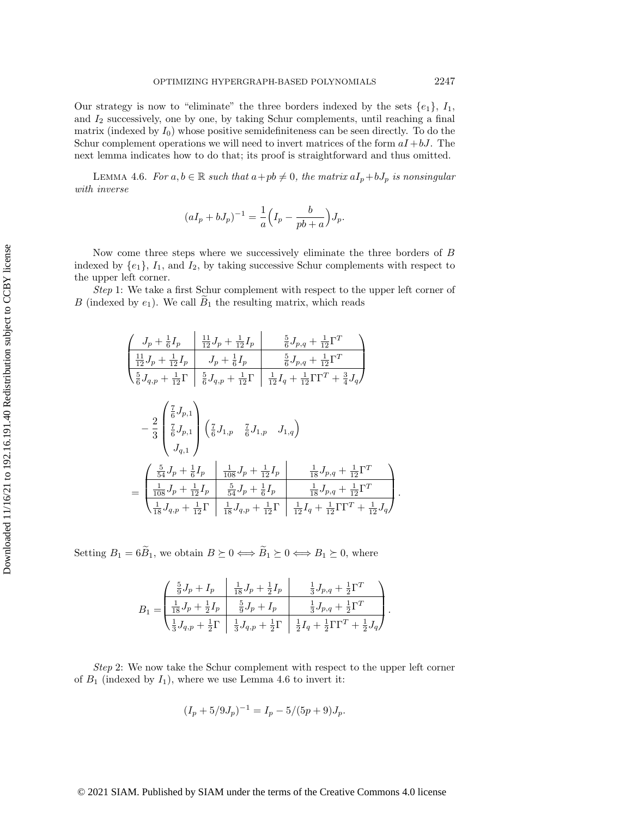Our strategy is now to "eliminate" the three borders indexed by the sets  $\{e_1\}$ ,  $I_1$ , and  $I_2$  successively, one by one, by taking Schur complements, until reaching a final matrix (indexed by  $I_0$ ) whose positive semidefiniteness can be seen directly. To do the Schur complement operations we will need to invert matrices of the form  $aI + bJ$ . The next lemma indicates how to do that; its proof is straightforward and thus omitted.

<span id="page-20-0"></span>LEMMA 4.6. For  $a, b \in \mathbb{R}$  such that  $a+p b \neq 0$ , the matrix  $aI_p+bJ_p$  is nonsingular with inverse

$$
(aI_p + bJ_p)^{-1} = \frac{1}{a} \left( I_p - \frac{b}{pb + a} \right) J_p.
$$

Now come three steps where we successively eliminate the three borders of B indexed by  $\{e_1\}$ ,  $I_1$ , and  $I_2$ , by taking successive Schur complements with respect to the upper left corner.

Step 1: We take a first Schur complement with respect to the upper left corner of B (indexed by  $e_1$ ). We call  $B_1$  the resulting matrix, which reads

$$
\begin{split}\n&\left(\begin{array}{c|c}J_p+\frac{1}{6}I_p&\frac{11}{12}J_p+\frac{1}{12}I_p&\frac{5}{6}J_{p,q}+\frac{1}{12}\Gamma^T\\ \frac{11}{12}J_p+\frac{1}{12}I_p&J_p+\frac{1}{6}I_p&\frac{5}{6}J_{p,q}+\frac{1}{12}\Gamma^T\\ \frac{5}{6}J_{q,p}+\frac{1}{12}\Gamma&\frac{5}{6}J_{q,p}+\frac{1}{12}\Gamma&\frac{1}{12}I_q+\frac{1}{12}\Gamma\Gamma^T+\frac{3}{4}J_q\end{array}\right)\\ &-\frac{2}{3}\begin{pmatrix}\frac{7}{6}J_{p,1}\\ \frac{7}{6}J_{p,1}\\ J_{q,1}\end{pmatrix}\begin{pmatrix}\frac{7}{6}J_{1,p}&\frac{7}{6}J_{1,p}&J_{1,q}\end{pmatrix}\\ &=\frac{\begin{pmatrix}\frac{5}{64}J_p+\frac{1}{6}I_p&\frac{1}{108}J_p+\frac{1}{12}I_p&\frac{1}{18}J_{p,q}+\frac{1}{12}\Gamma^T\\ \frac{1}{108}J_p+\frac{1}{12}I_p&\frac{5}{54}J_p+\frac{1}{6}I_p&\frac{1}{18}J_{p,q}+\frac{1}{12}\Gamma^T\\ \frac{1}{18}J_{q,p}+\frac{1}{12}\Gamma&\frac{1}{18}J_{q,p}+\frac{1}{12}\Gamma&\frac{1}{12}I_q+\frac{1}{12}\Gamma^T+\frac{1}{12}J_q\end{pmatrix}.\n\end{split}
$$

Setting  $B_1 = 6\widetilde B_1$ , we obtain  $B \succeq 0 \Longleftrightarrow \widetilde B_1 \succeq 0 \Longleftrightarrow B_1 \succeq 0$ , where

$$
B_1 = \begin{pmatrix} \frac{5}{9}J_p + I_p & \frac{1}{18}J_p + \frac{1}{2}I_p & \frac{1}{3}J_{p,q} + \frac{1}{2}\Gamma^T \\ \frac{1}{18}J_p + \frac{1}{2}I_p & \frac{5}{9}J_p + I_p & \frac{1}{3}J_{p,q} + \frac{1}{2}\Gamma^T \\ \frac{1}{3}J_{q,p} + \frac{1}{2}\Gamma & \frac{1}{3}J_{q,p} + \frac{1}{2}\Gamma & \frac{1}{2}I_q + \frac{1}{2}\Gamma\Gamma^T + \frac{1}{2}J_q \end{pmatrix}
$$

.

Step 2: We now take the Schur complement with respect to the upper left corner of  $B_1$  (indexed by  $I_1$ ), where we use Lemma [4.6](#page-20-0) to invert it:

$$
(I_p + 5/9J_p)^{-1} = I_p - 5/(5p + 9)J_p.
$$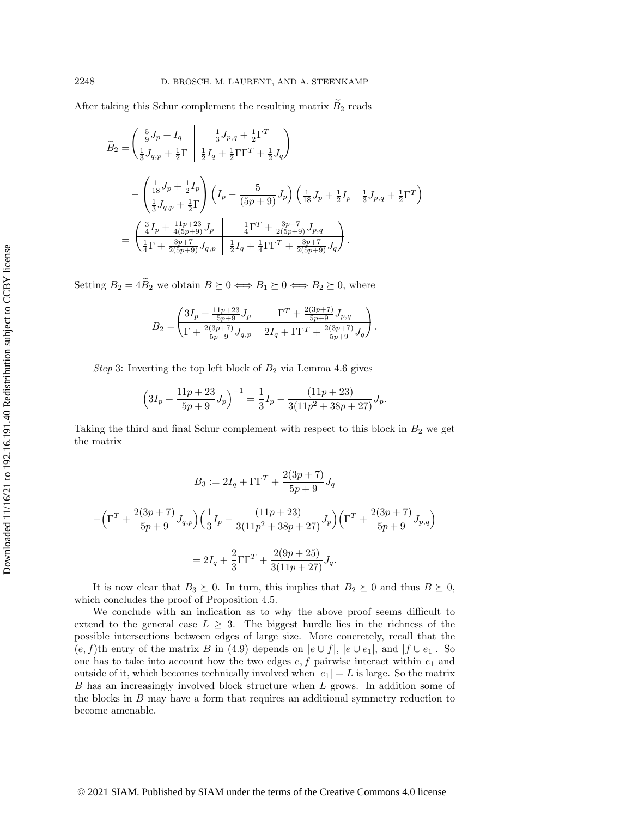After taking this Schur complement the resulting matrix  $\tilde B_2$  reads

$$
\widetilde{B}_{2} = \begin{pmatrix} \frac{5}{9}J_{p} + I_{q} & \frac{1}{3}J_{p,q} + \frac{1}{2}\Gamma^{T} \\ \frac{1}{3}J_{q,p} + \frac{1}{2}\Gamma & \frac{1}{2}I_{q} + \frac{1}{2}\Gamma\Gamma^{T} + \frac{1}{2}J_{q} \end{pmatrix} \n- \begin{pmatrix} \frac{1}{18}J_{p} + \frac{1}{2}I_{p} \\ \frac{1}{3}J_{q,p} + \frac{1}{2}\Gamma \end{pmatrix} \left( I_{p} - \frac{5}{(5p+9)}J_{p} \right) \left( \frac{1}{18}J_{p} + \frac{1}{2}I_{p} & \frac{1}{3}J_{p,q} + \frac{1}{2}\Gamma^{T} \right) \n= \begin{pmatrix} \frac{3}{4}I_{p} + \frac{11p+23}{4(5p+9)}J_{p} & \frac{1}{4}\Gamma^{T} + \frac{3p+7}{2(5p+9)}J_{p,q} \\ \frac{1}{4}\Gamma + \frac{3p+7}{2(5p+9)}J_{q,p} & \frac{1}{2}I_{q} + \frac{1}{4}\Gamma\Gamma^{T} + \frac{3p+7}{2(5p+9)}J_{q} \end{pmatrix}.
$$

Setting  $B_2 = 4\widetilde{B}_2$  we obtain  $B \succeq 0 \Longleftrightarrow B_1 \succeq 0 \Longleftrightarrow B_2 \succeq 0$ , where

$$
B_2 = \begin{pmatrix} 3I_p + \frac{11p+23}{5p+9}J_p & \Gamma^T + \frac{2(3p+7)}{5p+9}J_{p,q} \\ \Gamma + \frac{2(3p+7)}{5p+9}J_{q,p} & 2I_q + \Gamma\Gamma^T + \frac{2(3p+7)}{5p+9}J_q \end{pmatrix}.
$$

Step 3: Inverting the top left block of  $B_2$  via Lemma [4.6](#page-20-0) gives

$$
\left(3I_p + \frac{11p+23}{5p+9}J_p\right)^{-1} = \frac{1}{3}I_p - \frac{(11p+23)}{3(11p^2+38p+27)}J_p.
$$

Taking the third and final Schur complement with respect to this block in  $B_2$  we get the matrix

$$
B_3 := 2I_q + \Gamma \Gamma^T + \frac{2(3p+7)}{5p+9} J_q
$$

$$
-\left(\Gamma^T + \frac{2(3p+7)}{5p+9} J_{q,p}\right) \left(\frac{1}{3} I_p - \frac{(11p+23)}{3(11p^2+38p+27)} J_p\right) \left(\Gamma^T + \frac{2(3p+7)}{5p+9} J_{p,q}\right)
$$

$$
= 2I_q + \frac{2}{3} \Gamma \Gamma^T + \frac{2(9p+25)}{3(11p+27)} J_q.
$$

It is now clear that  $B_3 \succeq 0$ . In turn, this implies that  $B_2 \succeq 0$  and thus  $B \succeq 0$ , which concludes the proof of Proposition [4.5.](#page-19-1)

We conclude with an indication as to why the above proof seems difficult to extend to the general case  $L \geq 3$ . The biggest hurdle lies in the richness of the possible intersections between edges of large size. More concretely, recall that the  $(e, f)$ th entry of the matrix B in [\(4.9\)](#page-19-0) depends on  $|e \cup f|$ ,  $|e \cup e_1|$ , and  $|f \cup e_1|$ . So one has to take into account how the two edges  $e, f$  pairwise interact within  $e_1$  and outside of it, which becomes technically involved when  $|e_1| = L$  is large. So the matrix B has an increasingly involved block structure when L grows. In addition some of the blocks in B may have a form that requires an additional symmetry reduction to become amenable.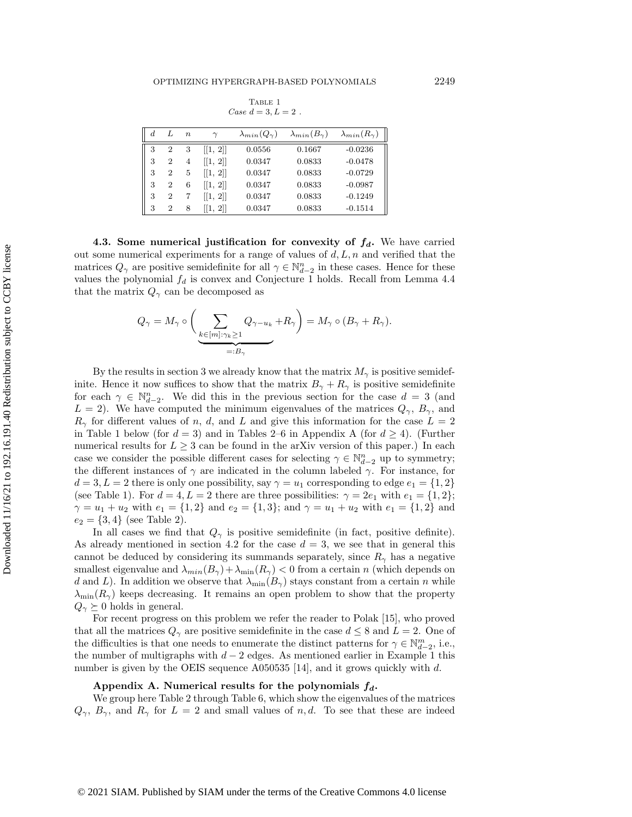TABLE 1 Case  $d = 3, L = 2$ .

<span id="page-22-1"></span>

| d. |                | $\boldsymbol{n}$ |          | $\lambda_{min}(Q_{\gamma})$ | $\lambda_{min}(B_{\gamma})$ | $\lambda_{min}(R_{\gamma})$ |
|----|----------------|------------------|----------|-----------------------------|-----------------------------|-----------------------------|
| 3  | $\overline{2}$ | 3                | [[1, 2]] | 0.0556                      | 0.1667                      | $-0.0236$                   |
| 3  | $\overline{2}$ | $\overline{4}$   | [[1, 2]] | 0.0347                      | 0.0833                      | $-0.0478$                   |
| 3  | $\overline{2}$ | 5                | [[1, 2]] | 0.0347                      | 0.0833                      | $-0.0729$                   |
| 3  | $\overline{2}$ | 6                | [[1, 2]] | 0.0347                      | 0.0833                      | $-0.0987$                   |
| 3  | $\overline{2}$ |                  | [[1, 2]] | 0.0347                      | 0.0833                      | $-0.1249$                   |
| 3  | 2              | 8                | 1, 2     | 0.0347                      | 0.0833                      | $-0.1514$                   |

<span id="page-22-0"></span>4.3. Some numerical justification for convexity of  $f_d$ . We have carried out some numerical experiments for a range of values of  $d, L, n$  and verified that the matrices  $Q_\gamma$  are positive semidefinite for all  $\gamma \in \mathbb N_{d-2}^n$  in these cases. Hence for these values the polynomial  $f_d$  is convex and Conjecture [1](#page-15-1) holds. Recall from Lemma [4.4](#page-17-0) that the matrix  $Q_\gamma$  can be decomposed as

$$
Q_{\gamma} = M_{\gamma} \circ \left( \sum_{\substack{k \in [m]: \gamma_k \ge 1 \\ =: B_{\gamma}}} Q_{\gamma - u_k} + R_{\gamma} \right) = M_{\gamma} \circ (B_{\gamma} + R_{\gamma}).
$$

By the results in section [3](#page-8-1) we already know that the matrix  $M_\gamma$  is positive semidefinite. Hence it now suffices to show that the matrix  $B_\gamma + R_\gamma$  is positive semidefinite for each  $\gamma \in \mathbb{N}_{d-2}^n$ . We did this in the previous section for the case  $d = 3$  (and  $L = 2$ ). We have computed the minimum eigenvalues of the matrices  $Q_\gamma$ ,  $B_\gamma$ , and  $R_\gamma$  for different values of n, d, and L and give this information for the case  $L = 2$ in Table [1](#page-22-1) below (for  $d = 3$ ) and in Tables 2–[6](#page-26-17) in Appendix A (for  $d \geq 4$ ). (Further numerical results for  $L \geq 3$  can be found in the arXiv version of this paper.) In each case we consider the possible different cases for selecting  $\gamma \in \mathbb{N}^n_{d-2}$  up to symmetry; the different instances of  $\gamma$  are indicated in the column labeled  $\gamma$ . For instance, for  $d = 3, L = 2$  there is only one possibility, say  $\gamma = u_1$  corresponding to edge  $e_1 = \{ 1, 2\}$ (see Table [1\)](#page-22-1). For  $d = 4, L = 2$  there are three possibilities:  $\gamma = 2e_1$  with  $e_1 = \{ 1, 2\} ;$  $\gamma = u_1 + u_2$  with  $e_1 = \{ 1, 2\}$  and  $e_2 = \{ 1, 3\}$ ; and  $\gamma = u_1 + u_2$  with  $e_1 = \{ 1, 2\}$  and  $e_2 = \{ 3, 4\}$  (see Table [2\)](#page-23-0).

In all cases we find that  $Q_\gamma$  is positive semidefinite (in fact, positive definite). As already mentioned in section [4.2](#page-18-0) for the case  $d = 3$ , we see that in general this cannot be deduced by considering its summands separately, since  $R_{\gamma}$  has a negative smallest eigenvalue and  $\lambda_{min}(B_\gamma)+\lambda_{\min}(R_\gamma ) < 0$  from a certain n (which depends on d and L). In addition we observe that  $\lambda_{\min}(B_\gamma )$  stays constant from a certain n while  $\lambda_{\min}(R_\gamma )$  keeps decreasing. It remains an open problem to show that the property  $Q_{\gamma} \succeq 0$  holds in general.

For recent progress on this problem we refer the reader to Polak [\[15\]](#page-26-16), who proved that all the matrices  $Q_\gamma$  are positive semidefinite in the case  $d \leq 8$  and  $L = 2$ . One of the difficulties is that one needs to enumerate the distinct patterns for  $\gamma \in \mathbb{N}^m_{d-2}$ , i.e., the number of multigraphs with  $d-2$  edges. As mentioned earlier in Example [1](#page-2-0) this number is given by the OEIS sequence A050535 [\[14\]](#page-26-12), and it grows quickly with d.

## Appendix A. Numerical results for the polynomials  $f_d$ .

We group here [Table 2](#page-23-0) through [Table 6,](#page-26-17) which show the eigenvalues of the matrices  $Q_\gamma$ ,  $B_\gamma$ , and  $R_\gamma$  for  $L = 2$  and small values of n, d. To see that these are indeed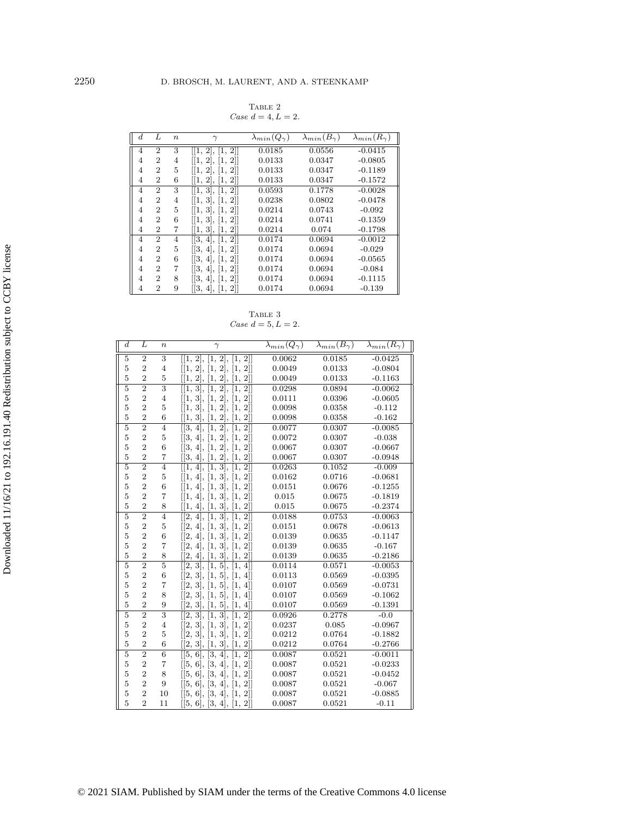TABLE 2 Case  $d = 4, L = 2$ .

<span id="page-23-0"></span>

| $_{d}$ | L              | $\boldsymbol{n}$ | $\gamma$                                         | $\lambda_{min}(Q_{\gamma})$ | $\lambda_{min}(B_{\gamma})$ | $\lambda_{min}(R_{\gamma})$ |
|--------|----------------|------------------|--------------------------------------------------|-----------------------------|-----------------------------|-----------------------------|
| 4      | $\overline{2}$ | 3                | [[1, 2], [1, 2]]                                 | 0.0185                      | 0.0556                      | $-0.0415$                   |
| 4      | $\overline{2}$ | 4                | [[1, 2], [1, 2]]                                 | 0.0133                      | 0.0347                      | $-0.0805$                   |
| 4      | $\overline{2}$ | 5                | 1, 2 ,<br> 1, 2                                  | 0.0133                      | 0.0347                      | $-0.1189$                   |
| 4      | $\overline{2}$ | 6                | 1, 2 ,<br> 1, 2                                  | 0.0133                      | 0.0347                      | $-0.1572$                   |
| 4      | $\overline{2}$ | 3                | [[1, 3],<br>$2$ ]<br>$\left\lceil 1\right\rceil$ | 0.0593                      | 0.1778                      | $-0.0028$                   |
| 4      | $\overline{2}$ | 4                | [[1, 3], [1, 2]]                                 | 0.0238                      | 0.0802                      | $-0.0478$                   |
| 4      | $\overline{2}$ | 5                | 1, 3 ,  1, 2                                     | 0.0214                      | 0.0743                      | $-0.092$                    |
| 4      | $\overline{2}$ | 6                | [1, 3], [1, 2]                                   | 0.0214                      | 0.0741                      | $-0.1359$                   |
| 4      | $\overline{2}$ | 7                | [[1, 3], [1, 2]]                                 | 0.0214                      | 0.074                       | $-0.1798$                   |
| 4      | $\overline{2}$ | 4                | [[3, 4], [1, 2]]                                 | 0.0174                      | 0.0694                      | $-0.0012$                   |
| 4      | $\overline{2}$ | 5                | [3, 4], [1, 2]                                   | 0.0174                      | 0.0694                      | $-0.029$                    |
| 4      | $\overline{2}$ | 6                | [3, 4],<br>[1, 2]                                | 0.0174                      | 0.0694                      | $-0.0565$                   |
| 4      | $\overline{2}$ | 7                | [[3, 4], [1, 2]]                                 | 0.0174                      | 0.0694                      | $-0.084$                    |
| 4      | $\overline{2}$ | 8                | 3, 4 ,<br> 1,<br>$2$                             | 0.0174                      | 0.0694                      | $-0.1115$                   |
| 4      | $\overline{2}$ | 9                | [[3, 4],<br> 1, 2                                | 0.0174                      | 0.0694                      | $-0.139$                    |

TABLE 3 Case  $d = 5, L = 2.$ 

| $\overline{d}$ | L              | $\boldsymbol{n}$  | $\gamma$                                                          | $\lambda_{min}(Q_{\gamma})$ | $\lambda_{min}(B_{\gamma})$ | $\lambda_{min}(R_{\gamma})$ |
|----------------|----------------|-------------------|-------------------------------------------------------------------|-----------------------------|-----------------------------|-----------------------------|
| $\overline{5}$ | $\overline{2}$ | $\overline{3}$    | [[1, 2], [1, 2], [1, 2]]                                          | 0.0062                      | 0.0185                      | $-0.0425$                   |
| $\overline{5}$ | $\overline{2}$ | $\overline{4}$    | [[1, 2], [1, 2], [1, 2]]                                          | 0.0049                      | 0.0133                      | $-0.0804$                   |
| 5              | $\overline{2}$ | $\bf 5$           | [[1, 2], [1, 2], [1, 2]]                                          | 0.0049                      | 0.0133                      | $-0.1163$                   |
| $\overline{5}$ | $\overline{2}$ | $\overline{3}$    | [[1, 3],<br>[1, 2],<br>$\overline{2}$ ]<br>Ī,                     | 0.0298                      | 0.0894                      | $-0.0062$                   |
| $\overline{5}$ | $\overline{2}$ | $\overline{4}$    | [[1, 3], [1, 2], [1, 2]]                                          | 0.0111                      | 0.0396                      | $-0.0605$                   |
| 5              | $\overline{2}$ | 5                 | [[1, 3], [1, 2], [1, 2]]                                          | 0.0098                      | 0.0358                      | $-0.112$                    |
| 5              | $\overline{2}$ | $\,6$             | [[1, 3], [1, 2], [1, 2]]                                          | 0.0098                      | 0.0358                      | $-0.162$                    |
| $\overline{5}$ | $\overline{2}$ | $\overline{4}$    | [[3, 4],<br>[1, 2],<br>$\overline{2}]]$<br>Ī1,                    | 0.0077                      | 0.0307                      | $-0.0085$                   |
| 5              | $\overline{2}$ | 5                 | [[3, 4], [1, 2], [1, 2]]                                          | 0.0072                      | 0.0307                      | $-0.038$                    |
| 5              | $\overline{2}$ | 6                 | [[3, 4], [1, 2], [1, 2]]                                          | 0.0067                      | 0.0307                      | $-0.0667$                   |
| 5              | $\overline{2}$ | $\scriptstyle{7}$ | [[3, 4], [1, 2], [1, 2]]                                          | 0.0067                      | 0.0307                      | $-0.0948$                   |
| $\overline{5}$ | $\overline{2}$ | $\overline{4}$    | [1, 3],<br>[1, 2]<br>[[1, 4],                                     | 0.0263                      | 0.1052                      | $-0.009$                    |
| 5              | $\overline{2}$ | $\bf 5$           | [[1, 4], [1, 3], [1, 2]]                                          | 0.0162                      | 0.0716                      | $-0.0681$                   |
| 5              | $\overline{2}$ | 6                 | [[1, 4], [1, 3], [1, 2]]                                          | 0.0151                      | 0.0676                      | $-0.1255$                   |
| 5              | $\overline{2}$ | $\overline{7}$    | [[1, 4], [1, 3], [1, 2]]                                          | 0.015                       | 0.0675                      | $-0.1819$                   |
| 5              | $\overline{2}$ | 8                 | [[1, 4],<br>[1, 3], [1, 2]                                        | 0.015                       | 0.0675                      | $-0.2374$                   |
| $\overline{5}$ | $\overline{2}$ | $\overline{4}$    | $\overline{[1, 3]},$<br>[[2, 4],<br>Ī1,<br>$2$ ]                  | 0.0188                      | 0.0753                      | $-0.0063$                   |
| 5              | $\overline{2}$ | 5                 | [[2, 4], [1, 3], [1, 2]]                                          | 0.0151                      | 0.0678                      | $-0.0613$                   |
| 5              | $\overline{2}$ | $\,6$             | [[2, 4], [1, 3], [1, 2]]                                          | 0.0139                      | 0.0635                      | $-0.1147$                   |
| 5              | $\overline{2}$ | 7                 | [[2, 4], [1, 3], [1, 2]]                                          | 0.0139                      | 0.0635                      | $-0.167$                    |
| 5              | $\overline{2}$ | 8                 | [1, 2]<br>[[2, 4],<br>[1, 3],                                     | 0.0139                      | 0.0635                      | $-0.2186$                   |
| $\overline{5}$ | $\overline{2}$ | $\overline{5}$    | [[2, 3],<br>[1, 5],<br>Ī1,<br>$4$ ]                               | 0.0114                      | 0.0571                      | $-0.0053$                   |
| 5              | $\overline{2}$ | $\,6$             | [[2, 3], [1, 5], [1, 4]]                                          | 0.0113                      | 0.0569                      | $-0.0395$                   |
| 5              | $\overline{2}$ | $\scriptstyle{7}$ | [[2, 3], [1, 5], [1, 4]]                                          | 0.0107                      | 0.0569                      | $-0.0731$                   |
| 5              | $\overline{2}$ | 8                 | [[2, 3], [1, 5], [1, 4]]                                          | 0.0107                      | 0.0569                      | $-0.1062$                   |
| 5              | $\overline{2}$ | $\boldsymbol{9}$  | [2, 3],<br>[1, 5],<br>[1, 4]                                      | 0.0107                      | 0.0569                      | $-0.1391$                   |
| $\overline{5}$ | $\overline{2}$ | $\overline{3}$    | [[2, 3],<br>[1, 3],<br>[1, 2]                                     | 0.0926                      | 0.2778                      | $-0.0$                      |
| $\overline{5}$ | $\overline{2}$ | $\overline{4}$    | [2, 3], [1, 3], [1,<br>$2$ ]                                      | 0.0237                      | 0.085                       | $-0.0967$                   |
| 5              | $\overline{2}$ | $\overline{5}$    | [[2, 3],<br>[1, 3],<br>$\left\lceil 1, \right\rceil$<br>$2$ ]     | 0.0212                      | 0.0764                      | $-0.1882$                   |
| 5              | $\overline{2}$ | $\,6$             | [[2, 3],<br>[1, 2]<br>[1, 3],                                     | 0.0212                      | 0.0764                      | $-0.2766$                   |
| $\overline{5}$ | $\overline{2}$ | $\overline{6}$    | $\overline{[3, 4]},$<br>[2]<br>[[5, 6],<br>$\left 1\right\rangle$ | 0.0087                      | 0.0521                      | $-0.0011$                   |
| $\overline{5}$ | $\overline{2}$ | 7                 | [[5, 6], [3, 4],<br>$\left[1,\right]$<br>$2$ ]                    | 0.0087                      | 0.0521                      | $-0.0233$                   |
| 5              | $\overline{2}$ | 8                 | [5, 6],<br>[3, 4],<br>$2$ ]<br> 1,                                | 0.0087                      | 0.0521                      | $-0.0452$                   |
| 5              | $\overline{2}$ | 9                 | [[5, 6],<br>[3, 4],<br>$2$ ]<br>$\left\lceil 1\right\rceil$       | 0.0087                      | 0.0521                      | $-0.067$                    |
| $\overline{5}$ | $\overline{2}$ | 10                | [[5, 6], [3, 4], [1, 2]]                                          | 0.0087                      | 0.0521                      | $-0.0885$                   |
| 5              | $\overline{2}$ | 11                | [[5, 6], [3, 4], [1, 2]]                                          | 0.0087                      | 0.0521                      | $-0.11$                     |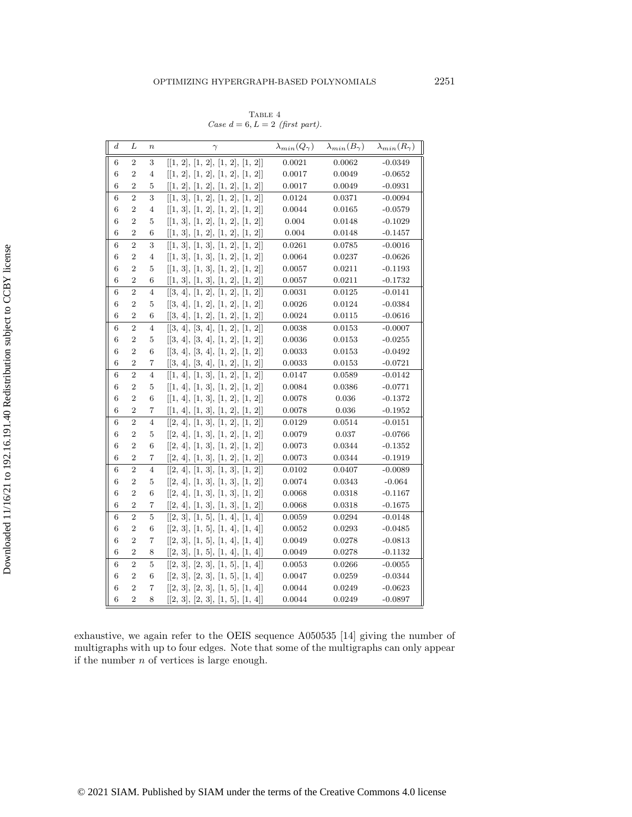TABLE  $4\,$ Case  $d = 6, L = 2$  (first part).

| $\boldsymbol{d}$ | L              | $\boldsymbol{n}$ | $\gamma$                                                  | $\lambda_{min}(Q_{\gamma})$ | $\lambda_{min}(B_{\gamma})$ | $\lambda_{min}(R_{\gamma})$ |
|------------------|----------------|------------------|-----------------------------------------------------------|-----------------------------|-----------------------------|-----------------------------|
| 6                | $\sqrt{2}$     | 3                | [[1, 2], [1, 2], [1, 2], [1, 2]]                          | 0.0021                      | 0.0062                      | $-0.0349$                   |
| 6                | $\overline{2}$ | 4                | [[1, 2], [1, 2], [1, 2], [1, 2]]                          | 0.0017                      | 0.0049                      | $-0.0652$                   |
| 6                | $\overline{2}$ | 5                | [[1, 2], [1, 2], [1, 2], [1, 2]]                          | 0.0017                      | 0.0049                      | $-0.0931$                   |
| 6                | $\overline{2}$ | 3                | [[1, 3], [1, 2], [1, 2], [1, 2]]                          | 0.0124                      | 0.0371                      | $-0.0094$                   |
| 6                | $\overline{2}$ | 4                | [[1, 3], [1, 2], [1, 2], [1, 2]]                          | 0.0044                      | 0.0165                      | $-0.0579$                   |
| 6                | $\overline{2}$ | 5                | [[1, 3], [1, 2], [1, 2], [1, 2]]                          | 0.004                       | 0.0148                      | $-0.1029$                   |
| 6                | $\overline{2}$ | 6                | [[1, 3], [1, 2], [1, 2], [1, 2]]                          | 0.004                       | 0.0148                      | $-0.1457$                   |
| $\overline{6}$   | $\overline{2}$ | 3                | [1, 3], [1, 3], [1, 2], [1, 2]                            | 0.0261                      | 0.0785                      | $-0.0016$                   |
| 6                | $\overline{2}$ | $\overline{4}$   | [[1, 3], [1, 3], [1, 2], [1, 2]]                          | 0.0064                      | 0.0237                      | $-0.0626$                   |
| 6                | $\overline{2}$ | 5                | [[1, 3], [1, 3], [1, 2], [1, 2]]                          | 0.0057                      | 0.0211                      | $-0.1193$                   |
| 6                | $\overline{2}$ | 6                | [[1, 3], [1, 3], [1, 2], [1, 2]]                          | 0.0057                      | 0.0211                      | $-0.1732$                   |
| 6                | $\overline{2}$ | 4                | [[3, 4], [1, 2], [1, 2], [1, 2]]                          | 0.0031                      | 0.0125                      | $-0.0141$                   |
| 6                | $\overline{2}$ | 5                | [[3, 4], [1, 2], [1, 2], [1, 2]]                          | 0.0026                      | 0.0124                      | $-0.0384$                   |
| 6                | $\overline{2}$ | 6                | [[3, 4], [1, 2], [1, 2], [1, 2]]                          | 0.0024                      | 0.0115                      | $-0.0616$                   |
| 6                | $\overline{2}$ | $\overline{4}$   | [[3, 4], [3, 4], [1, 2], [1, 2]]                          | 0.0038                      | 0.0153                      | $-0.0007$                   |
| 6                | $\overline{2}$ | 5                | [[3, 4], [3, 4], [1, 2], [1, 2]]                          | 0.0036                      | 0.0153                      | $-0.0255$                   |
| 6                | $\overline{2}$ | 6                | [[3, 4], [3, 4], [1, 2], [1, 2]]                          | 0.0033                      | 0.0153                      | $-0.0492$                   |
| 6                | $\overline{2}$ | 7                | [[3, 4], [3, 4], [1, 2], [1, 2]]                          | 0.0033                      | 0.0153                      | $-0.0721$                   |
| 6                | $\overline{2}$ | $\overline{4}$   | [[1, 4], [1, 3], [1, 2], [1, 2]]                          | 0.0147                      | 0.0589                      | $-0.0142$                   |
| 6                | $\overline{2}$ | 5                | [[1, 4], [1, 3], [1, 2], [1, 2]]                          | 0.0084                      | 0.0386                      | $-0.0771$                   |
| 6                | $\overline{2}$ | 6                | [[1, 4], [1, 3], [1, 2], [1, 2]]                          | 0.0078                      | 0.036                       | $-0.1372$                   |
| 6                | $\overline{2}$ | 7                | [[1, 4], [1, 3], [1, 2], [1, 2]]                          | 0.0078                      | 0.036                       | $-0.1952$                   |
| 6                | $\overline{2}$ | $\overline{4}$   | [[2, 4], [1, 3], [1, 2], [1, 2]]                          | 0.0129                      | 0.0514                      | $-0.0151$                   |
| 6                | $\overline{2}$ | 5                | [[2, 4], [1, 3], [1, 2], [1, 2]]                          | 0.0079                      | 0.037                       | $-0.0766$                   |
| 6                | $\overline{2}$ | 6                | [[2, 4], [1, 3], [1, 2], [1, 2]]                          | 0.0073                      | 0.0344                      | $-0.1352$                   |
| 6                | $\overline{2}$ | 7                | [[2, 4], [1, 3], [1, 2], [1, 2]]                          | 0.0073                      | 0.0344                      | $-0.1919$                   |
| 6                | $\overline{2}$ | $\overline{4}$   | [[2, 4], [1, 3], [1, 3], [1, 2]]                          | 0.0102                      | 0.0407                      | $-0.0089$                   |
| 6                | $\overline{2}$ | 5                | [[2, 4], [1, 3], [1, 3], [1, 2]]                          | 0.0074                      | 0.0343                      | $-0.064$                    |
| 6                | $\overline{2}$ | 6                | [[2, 4], [1, 3], [1, 3], [1, 2]]                          | 0.0068                      | 0.0318                      | $-0.1167$                   |
| 6                | $\overline{2}$ | 7                | [[2, 4], [1, 3], [1, 3], [1, 2]]                          | 0.0068                      | 0.0318                      | $-0.1675$                   |
| $\overline{6}$   | $\overline{2}$ | $\bf 5$          | [[2, 3], [1, 5], [1, 4], [1, 4]]                          | 0.0059                      | 0.0294                      | $-0.0148$                   |
| 6                | $\overline{2}$ | 6                | [[2, 3], [1, 5], [1, 4], [1, 4]]                          | 0.0052                      | 0.0293                      | $-0.0485$                   |
| 6                | $\overline{2}$ | 7                | [[2, 3], [1, 5], [1, 4], [1, 4]]                          | 0.0049                      | 0.0278                      | $-0.0813$                   |
| 6                | $\overline{2}$ | 8                | $\left[ [2,\,3],\, [1,\,5],\, [1,\,4],\, [1,\,4] \right]$ | 0.0049                      | 0.0278                      | $-0.1132$                   |
| 6                | $\overline{2}$ | 5                | [[2, 3], [2, 3], [1, 5], [1, 4]]                          | 0.0053                      | 0.0266                      | $-0.0055$                   |
| 6                | $\overline{2}$ | 6                | [[2, 3], [2, 3], [1, 5], [1, 4]]                          | 0.0047                      | 0.0259                      | $-0.0344$                   |
| 6                | $\overline{2}$ | 7                | [[2, 3], [2, 3], [1, 5], [1, 4]]                          | 0.0044                      | 0.0249                      | $-0.0623$                   |
| 6                | $\overline{2}$ | 8                | [[2, 3], [2, 3], [1, 5], [1, 4]]                          | 0.0044                      | 0.0249                      | $-0.0897$                   |

exhaustive, we again refer to the OEIS sequence A050535 [\[14\]](#page-26-12) giving the number of multigraphs with up to four edges. Note that some of the multigraphs can only appear if the number  $n$  of vertices is large enough.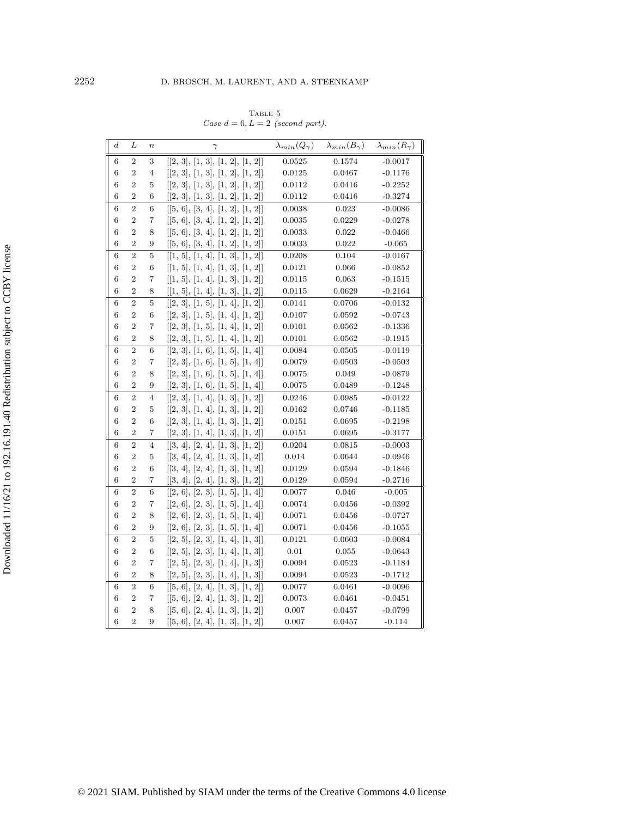| TABLE 5                            |
|------------------------------------|
| Case $d = 6, L = 2$ (second part). |

| $\boldsymbol{d}$ | L                | $\boldsymbol{n}$ | $\gamma$                                                  | $\lambda_{min}(Q_{\gamma})$ | $\lambda_{min}(B_{\gamma})$ | $\lambda_{min}(R_{\gamma})$ |
|------------------|------------------|------------------|-----------------------------------------------------------|-----------------------------|-----------------------------|-----------------------------|
| 6                | $\boldsymbol{2}$ | 3                | [[2, 3], [1, 3], [1, 2], [1, 2]]                          | 0.0525                      | 0.1574                      | $-0.0017$                   |
| $\,6$            | $\overline{2}$   | 4                | [[2, 3], [1, 3], [1, 2], [1, 2]]                          | 0.0125                      | 0.0467                      | $-0.1176$                   |
| 6                | $\overline{2}$   | 5                | [[2, 3], [1, 3], [1, 2], [1, 2]]                          | 0.0112                      | 0.0416                      | $-0.2252$                   |
| 6                | $\overline{2}$   | 6                | [[2, 3], [1, 3], [1, 2], [1, 2]]                          | 0.0112                      | 0.0416                      | $-0.3274$                   |
| 6                | $\overline{2}$   | 6                | [[5, 6], [3, 4], [1, 2], [1, 2]]                          | 0.0038                      | 0.023                       | $-0.0086$                   |
| 6                | $\overline{2}$   | 7                | [[5, 6], [3, 4], [1, 2], [1, 2]]                          | 0.0035                      | 0.0229                      | $-0.0278$                   |
| 6                | $\overline{2}$   | 8                | [[5, 6], [3, 4], [1, 2], [1, 2]]                          | 0.0033                      | 0.022                       | $-0.0466$                   |
| 6                | $\overline{2}$   | 9                | [[5, 6], [3, 4], [1, 2], [1, 2]]                          | 0.0033                      | 0.022                       | $-0.065$                    |
| 6                | $\overline{2}$   | 5                | [[1, 5], [1, 4], [1, 3], [1, 2]]                          | 0.0208                      | 0.104                       | $-0.0167$                   |
| 6                | $\,2$            | 6                | [[1, 5], [1, 4], [1, 3], [1, 2]]                          | 0.0121                      | 0.066                       | $-0.0852$                   |
| 6                | $\overline{2}$   | 7                | [[1, 5], [1, 4], [1, 3], [1, 2]]                          | 0.0115                      | 0.063                       | $-0.1515$                   |
| 6                | $\overline{2}$   | 8                | [[1, 5], [1, 4], [1, 3], [1, 2]]                          | 0.0115                      | 0.0629                      | $-0.2164$                   |
| 6                | $\overline{2}$   | 5                | [[2, 3], [1, 5], [1, 4], [1, 2]]                          | 0.0141                      | 0.0706                      | $-0.0132$                   |
| 6                | $\sqrt{2}$       | 6                | [[2, 3], [1, 5], [1, 4], [1, 2]]                          | 0.0107                      | 0.0592                      | $-0.0743$                   |
| 6                | $\overline{2}$   | 7                | [[2, 3], [1, 5], [1, 4], [1, 2]]                          | 0.0101                      | 0.0562                      | $-0.1336$                   |
| 6                | $\overline{2}$   | 8                | [[2, 3], [1, 5], [1, 4], [1, 2]]                          | 0.0101                      | 0.0562                      | $-0.1915$                   |
| 6                | $\overline{2}$   | 6                | [[2, 3], [1, 6], [1, 5], [1, 4]]                          | 0.0084                      | 0.0505                      | $-0.0119$                   |
| 6                | $\,2$            | 7                | [[2, 3], [1, 6], [1, 5], [1, 4]]                          | 0.0079                      | 0.0503                      | $-0.0503$                   |
| 6                | $\overline{2}$   | 8                | [[2, 3], [1, 6], [1, 5], [1, 4]]                          | 0.0075                      | 0.049                       | $-0.0879$                   |
| 6                | $\overline{2}$   | 9                | [[2, 3], [1, 6], [1, 5], [1, 4]]                          | 0.0075                      | 0.0489                      | $-0.1248$                   |
| 6                | $\overline{2}$   | $\overline{4}$   | [[2, 3], [1, 4], [1, 3], [1, 2]]                          | 0.0246                      | 0.0985                      | $-0.0122$                   |
| 6                | $\overline{2}$   | 5                | [[2, 3], [1, 4], [1, 3], [1, 2]]                          | 0.0162                      | 0.0746                      | $-0.1185$                   |
| 6                | $\overline{2}$   | 6                | [[2, 3], [1, 4], [1, 3], [1, 2]]                          | 0.0151                      | 0.0695                      | $-0.2198$                   |
| 6                | $\overline{2}$   | 7                | $\left[ [2,\,3],\, [1,\,4],\, [1,\,3],\, [1,\,2] \right]$ | 0.0151                      | 0.0695                      | $-0.3177$                   |
| 6                | $\overline{2}$   | $\overline{4}$   | [[3, 4], [2, 4], [1, 3], [1, 2]]                          | 0.0204                      | 0.0815                      | $-0.0003$                   |
| 6                | $\overline{2}$   | 5                | [[3, 4], [2, 4], [1, 3], [1, 2]]                          | $\,0.014\,$                 | 0.0644                      | $-0.0946$                   |
| 6                | $\overline{2}$   | 6                | [[3, 4], [2, 4], [1, 3], [1, 2]]                          | 0.0129                      | 0.0594                      | $-0.1846$                   |
| 6                | $\overline{2}$   | 7                | [[3, 4], [2, 4], [1, 3], [1, 2]]                          | 0.0129                      | 0.0594                      | $-0.2716$                   |
| 6                | $\overline{2}$   | 6                | [[2, 6], [2, 3], [1, 5], [1, 4]]                          | 0.0077                      | 0.046                       | $-0.005$                    |
| 6                | $\,2$            | 7                | [[2, 6], [2, 3], [1, 5], [1, 4]]                          | 0.0074                      | 0.0456                      | $-0.0392$                   |
| 6                | $\overline{2}$   | 8                | [[2, 6], [2, 3], [1, 5], [1, 4]]                          | 0.0071                      | 0.0456                      | $-0.0727$                   |
| 6                | $\overline{2}$   | 9                | [[2, 6], [2, 3], [1, 5], [1, 4]]                          | 0.0071                      | 0.0456                      | $-0.1055$                   |
| 6                | $\overline{2}$   | 5                | [[2, 5], [2, 3], [1, 4], [1, 3]]                          | 0.0121                      | 0.0603                      | $-0.0084$                   |
| 6                | $\overline{2}$   | 6                | [[2, 5], [2, 3], [1, 4], [1, 3]]                          | 0.01                        | 0.055                       | $-0.0643$                   |
| 6                | $\overline{2}$   | 7                | [[2, 5], [2, 3], [1, 4], [1, 3]]                          | 0.0094                      | 0.0523                      | $-0.1184$                   |
| 6                | $\overline{2}$   | 8                | [[2, 5], [2, 3], [1, 4], [1, 3]]                          | 0.0094                      | 0.0523                      | $-0.1712$                   |
| 6                | $\overline{2}$   | 6                | [[5, 6], [2, 4], [1, 3], [1, 2]]                          | 0.0077                      | 0.0461                      | $-0.0096$                   |
| 6                | $\overline{2}$   | 7                | [[5, 6], [2, 4], [1, 3], [1, 2]]                          | 0.0073                      | 0.0461                      | $-0.0451$                   |
| 6                | $\overline{2}$   | 8                | [[5, 6], [2, 4], [1, 3], [1, 2]]                          | 0.007                       | 0.0457                      | $-0.0799$                   |
| 6                | $\overline{2}$   | 9                | [5, 6], [2, 4], [1, 3], [1, 2]                            | 0.007                       | 0.0457                      | $-0.114$                    |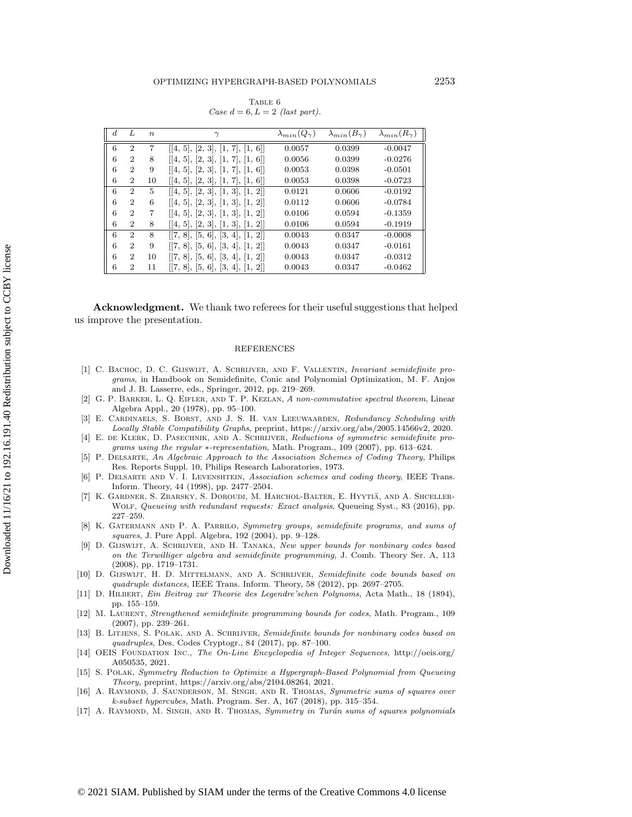TABLE 6 Case  $d = 6, L = 2$  (last part).

<span id="page-26-17"></span>

| $\boldsymbol{d}$ | Τ.                          | $n_{\cdot}$ | $\gamma$                         | $\lambda_{min}(Q_{\gamma})$ | $\lambda_{min}(B_{\gamma})$ | $\lambda_{min}(R_{\gamma})$ |
|------------------|-----------------------------|-------------|----------------------------------|-----------------------------|-----------------------------|-----------------------------|
| 6                | $\overline{2}$              | 7           | [[4, 5], [2, 3], [1, 7], [1, 6]] | 0.0057                      | 0.0399                      | $-0.0047$                   |
| 6                | $\overline{2}$              | 8           | [[4, 5], [2, 3], [1, 7], [1, 6]] | 0.0056                      | 0.0399                      | $-0.0276$                   |
| 6                | $\overline{2}$              | 9           | [[4, 5], [2, 3], [1, 7], [1, 6]] | 0.0053                      | 0.0398                      | $-0.0501$                   |
| 6                | $\overline{2}$              | 10          | [[4, 5], [2, 3], [1, 7], [1, 6]] | 0.0053                      | 0.0398                      | $-0.0723$                   |
| 6                | $\mathcal{D}_{\mathcal{L}}$ | 5           | [[4, 5], [2, 3], [1, 3], [1, 2]] | 0.0121                      | 0.0606                      | $-0.0192$                   |
| 6                | $\overline{2}$              | 6           | [4, 5], [2, 3], [1, 3], [1, 2]   | 0.0112                      | 0.0606                      | $-0.0784$                   |
| 6                | $\mathcal{D}$               |             | [4, 5], [2, 3], [1, 3], [1, 2]   | 0.0106                      | 0.0594                      | $-0.1359$                   |
| 6                | $\overline{2}$              | 8           | [[4, 5], [2, 3], [1, 3], [1, 2]] | 0.0106                      | 0.0594                      | $-0.1919$                   |
| 6                | $\overline{2}$              | 8           | [[7, 8], [5, 6], [3, 4], [1, 2]] | 0.0043                      | 0.0347                      | $-0.0008$                   |
| 6                | $\mathcal{D}_{\mathcal{L}}$ | 9           | [[7, 8], [5, 6], [3, 4], [1, 2]] | 0.0043                      | 0.0347                      | $-0.0161$                   |
| 6                | $\overline{2}$              | 10          | [7, 8], [5, 6], [3, 4], [1, 2]   | 0.0043                      | 0.0347                      | $-0.0312$                   |
| 6                | $\overline{2}$              | 11          | [[7, 8], [5, 6], [3, 4], [1, 2]] | 0.0043                      | 0.0347                      | $-0.0462$                   |

Acknowledgment. We thank two referees for their useful suggestions that helped us improve the presentation.

## REFERENCES

- <span id="page-26-7"></span>[1] C. Bachoc, D. C. Gijswijt, A. Schrijver, and F. Vallentin, Invariant semidefinite programs, in Handbook on Semidefinite, Conic and Polynomial Optimization, M. F. Anjos and J. B. Lasserre, eds., Springer, 2012, pp. 219-269.
- <span id="page-26-14"></span>[2] G. P. Barker, L. Q. Eifler, and T. P. Kezlan, A non-commutative spectral theorem, Linear Algebra Appl., 20 (1978), pp. 95-100.
- <span id="page-26-0"></span>[3] E. Cardinaels, S. Borst, and J. S. H. van Leeuwaarden, Redundancy Scheduling with Locally Stable Compatibility Graphs, preprint, [https://arxiv.org/abs/2005.14566v2,](https://arxiv.org/abs/2005.14566v2) 2020.
- <span id="page-26-8"></span>[4] E. de Klerk, D. Pasechnik, and A. Schrijver, Reductions of symmetric semidefinite programs using the regular  $*$ -representation, Math. Program., 109 (2007), pp. 613-624.
- <span id="page-26-1"></span>[5] P. Delsarte, An Algebraic Approach to the Association Schemes of Coding Theory, Philips Res. Reports Suppl. 10, Philips Research Laboratories, 1973.
- <span id="page-26-2"></span>[6] P. DELSARTE AND V. I. LEVENSHTEIN, Association schemes and coding theory, IEEE Trans. Inform. Theory, 44 (1998), pp. 2477-2504.
- <span id="page-26-13"></span>[7] K. Gardner, S. Zbarsky, S. Doroudi, M. Harchol-Balter, E. Hyytia, and A. Shceller- \" Wolf, Queueing with redundant requests: Exact analysis, Queueing Syst., 83 (2016), pp.  $227 - 259$ .
- <span id="page-26-9"></span>[8] K. GATERMANN AND P. A. PARRILO, Symmetry groups, semidefinite programs, and sums of squares, J. Pure Appl. Algebra, 192 (2004), pp. 9-128.
- <span id="page-26-3"></span>[9] D. Gijswijt, A. Schrijver, and H. Tanaka, New upper bounds for nonbinary codes based on the Terwilliger algebra and semidefinite programming, J. Comb. Theory Ser. A, 113  $(2008)$ , pp. 1719-1731.
- <span id="page-26-4"></span>[10] D. Gijswijt, H. D. Mittelmann, and A. Schrijver, Semidefinite code bounds based on quadruple distances, IEEE Trans. Inform. Theory, 58 (2012), pp. 2697-2705.
- <span id="page-26-15"></span>[11] D. Hilbert, Ein Beitrag zur Theorie des Legendre'schen Polynoms, Acta Math., 18 (1894), pp. 155-159.
- <span id="page-26-5"></span>[12] M. Laurent, Strengthened semidefinite programming bounds for codes, Math. Program., 109  $(2007)$ , pp.  $239-261$ .
- <span id="page-26-6"></span>[13] B. LITJENS, S. POLAK, AND A. SCHRIJVER, Semidefinite bounds for nonbinary codes based on quadruples, Des. Codes Cryptogr., 84 (2017), pp. 87-100.
- <span id="page-26-12"></span>[14] OEIS Foundation Inc., The On-Line Encyclopedia of Integer Sequences, [http://oeis.org/](http://oeis.org/A050535) [A050535,](http://oeis.org/A050535) 2021.
- <span id="page-26-16"></span>[15] S. Polak, Symmetry Reduction to Optimize a Hypergraph-Based Polynomial from Queueing Theory, preprint, [https://arxiv.org/abs/2104.08264,](https://arxiv.org/abs/2104.08264) 2021.
- <span id="page-26-10"></span>[16] A. RAYMOND, J. SAUNDERSON, M. SINGH, AND R. THOMAS, Symmetric sums of squares over k-subset hypercubes, Math. Program. Ser. A, 167 (2018), pp. 315-354.
- <span id="page-26-11"></span>[17] A. RAYMOND, M. SINGH, AND R. THOMAS, Symmetry in Turán sums of squares polynomials